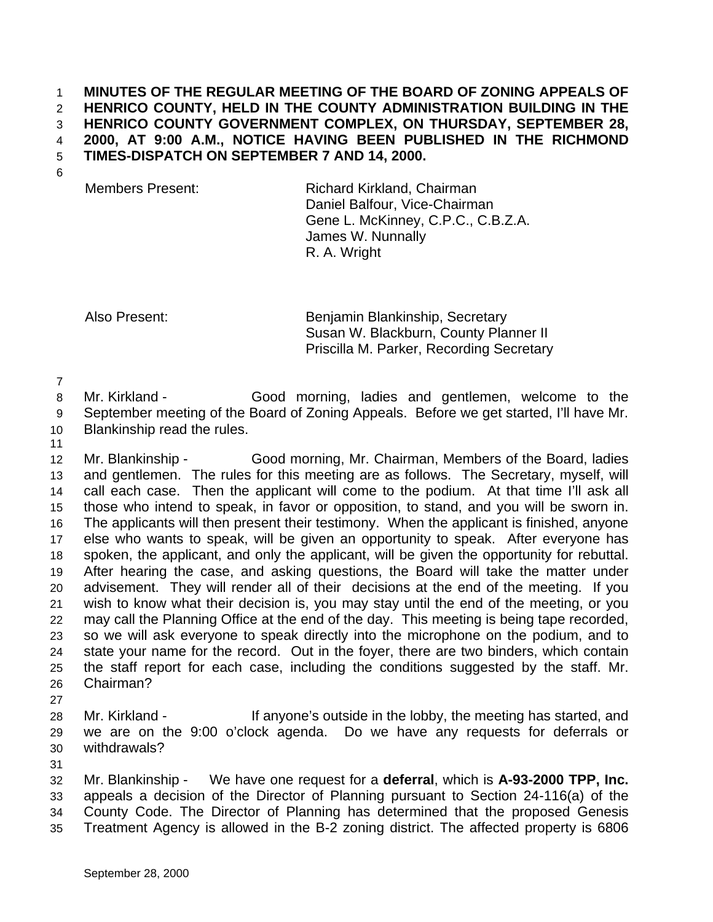## **MINUTES OF THE REGULAR MEETING OF THE BOARD OF ZONING APPEALS OF HENRICO COUNTY, HELD IN THE COUNTY ADMINISTRATION BUILDING IN THE HENRICO COUNTY GOVERNMENT COMPLEX, ON THURSDAY, SEPTEMBER 28, 2000, AT 9:00 A.M., NOTICE HAVING BEEN PUBLISHED IN THE RICHMOND TIMES-DISPATCH ON SEPTEMBER 7 AND 14, 2000.**

Members Present: Richard Kirkland, Chairman Daniel Balfour, Vice-Chairman Gene L. McKinney, C.P.C., C.B.Z.A. James W. Nunnally R. A. Wright

Also Present: Benjamin Blankinship, Secretary Susan W. Blackburn, County Planner II Priscilla M. Parker, Recording Secretary

Mr. Kirkland - Good morning, ladies and gentlemen, welcome to the

September meeting of the Board of Zoning Appeals. Before we get started, I'll have Mr.

- Blankinship read the rules.
- 

 Mr. Blankinship - Good morning, Mr. Chairman, Members of the Board, ladies and gentlemen. The rules for this meeting are as follows. The Secretary, myself, will call each case. Then the applicant will come to the podium. At that time I'll ask all those who intend to speak, in favor or opposition, to stand, and you will be sworn in. The applicants will then present their testimony. When the applicant is finished, anyone else who wants to speak, will be given an opportunity to speak. After everyone has spoken, the applicant, and only the applicant, will be given the opportunity for rebuttal. After hearing the case, and asking questions, the Board will take the matter under advisement. They will render all of their decisions at the end of the meeting. If you wish to know what their decision is, you may stay until the end of the meeting, or you may call the Planning Office at the end of the day. This meeting is being tape recorded, so we will ask everyone to speak directly into the microphone on the podium, and to state your name for the record. Out in the foyer, there are two binders, which contain the staff report for each case, including the conditions suggested by the staff. Mr. Chairman?

28 Mr. Kirkland - If anyone's outside in the lobby, the meeting has started, and we are on the 9:00 o'clock agenda. Do we have any requests for deferrals or withdrawals?

 Mr. Blankinship - We have one request for a **deferral**, which is **A-93-2000 TPP, Inc.** appeals a decision of the Director of Planning pursuant to Section 24-116(a) of the County Code. The Director of Planning has determined that the proposed Genesis Treatment Agency is allowed in the B-2 zoning district. The affected property is 6806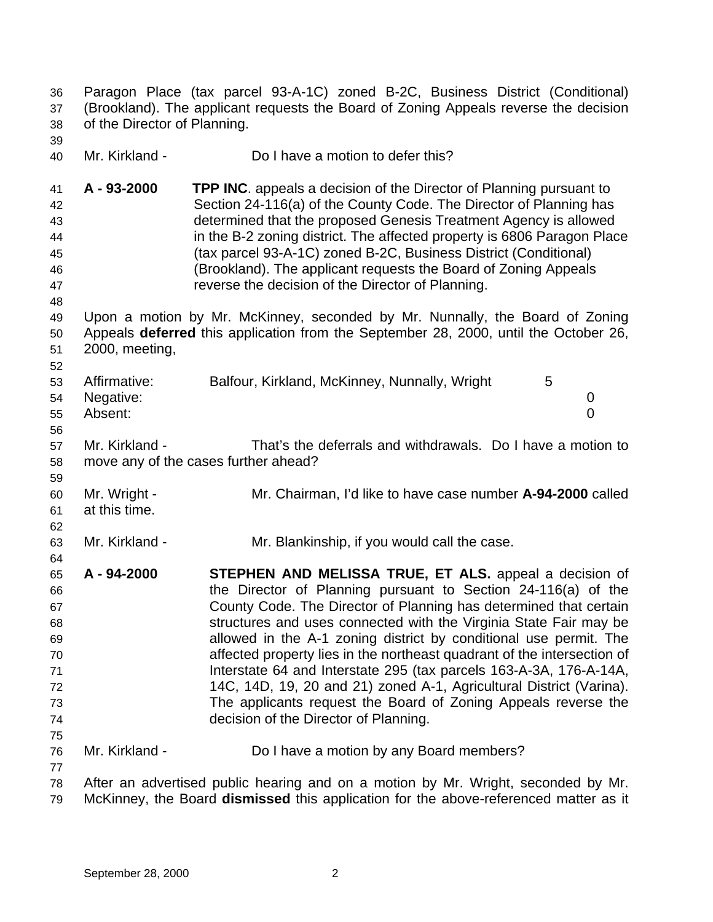| 36<br>37<br>38                                                 | of the Director of Planning.         | Paragon Place (tax parcel 93-A-1C) zoned B-2C, Business District (Conditional)<br>(Brookland). The applicant requests the Board of Zoning Appeals reverse the decision                                                                                                                                                                                                                                                                                                                                                                                                                                                                                                    |
|----------------------------------------------------------------|--------------------------------------|---------------------------------------------------------------------------------------------------------------------------------------------------------------------------------------------------------------------------------------------------------------------------------------------------------------------------------------------------------------------------------------------------------------------------------------------------------------------------------------------------------------------------------------------------------------------------------------------------------------------------------------------------------------------------|
| 39<br>40                                                       | Mr. Kirkland -                       | Do I have a motion to defer this?                                                                                                                                                                                                                                                                                                                                                                                                                                                                                                                                                                                                                                         |
| 41<br>42<br>43<br>44<br>45<br>46<br>47<br>48                   | A - 93-2000                          | <b>TPP INC.</b> appeals a decision of the Director of Planning pursuant to<br>Section 24-116(a) of the County Code. The Director of Planning has<br>determined that the proposed Genesis Treatment Agency is allowed<br>in the B-2 zoning district. The affected property is 6806 Paragon Place<br>(tax parcel 93-A-1C) zoned B-2C, Business District (Conditional)<br>(Brookland). The applicant requests the Board of Zoning Appeals<br>reverse the decision of the Director of Planning.                                                                                                                                                                               |
| 49<br>50<br>51<br>52                                           | 2000, meeting,                       | Upon a motion by Mr. McKinney, seconded by Mr. Nunnally, the Board of Zoning<br>Appeals deferred this application from the September 28, 2000, until the October 26,                                                                                                                                                                                                                                                                                                                                                                                                                                                                                                      |
| 53<br>54<br>55<br>56                                           | Affirmative:<br>Negative:<br>Absent: | Balfour, Kirkland, McKinney, Nunnally, Wright<br>5<br>0<br>$\overline{0}$                                                                                                                                                                                                                                                                                                                                                                                                                                                                                                                                                                                                 |
| 57<br>58<br>59                                                 | Mr. Kirkland -                       | That's the deferrals and withdrawals. Do I have a motion to<br>move any of the cases further ahead?                                                                                                                                                                                                                                                                                                                                                                                                                                                                                                                                                                       |
| 60<br>61<br>62                                                 | Mr. Wright -<br>at this time.        | Mr. Chairman, I'd like to have case number A-94-2000 called                                                                                                                                                                                                                                                                                                                                                                                                                                                                                                                                                                                                               |
| 63<br>64                                                       | Mr. Kirkland -                       | Mr. Blankinship, if you would call the case.                                                                                                                                                                                                                                                                                                                                                                                                                                                                                                                                                                                                                              |
| 65<br>66<br>67<br>68<br>69<br>70<br>71<br>72<br>73<br>74<br>75 | A - 94-2000                          | STEPHEN AND MELISSA TRUE, ET ALS. appeal a decision of<br>the Director of Planning pursuant to Section 24-116(a) of the<br>County Code. The Director of Planning has determined that certain<br>structures and uses connected with the Virginia State Fair may be<br>allowed in the A-1 zoning district by conditional use permit. The<br>affected property lies in the northeast quadrant of the intersection of<br>Interstate 64 and Interstate 295 (tax parcels 163-A-3A, 176-A-14A,<br>14C, 14D, 19, 20 and 21) zoned A-1, Agricultural District (Varina).<br>The applicants request the Board of Zoning Appeals reverse the<br>decision of the Director of Planning. |
| 76<br>77                                                       | Mr. Kirkland -                       | Do I have a motion by any Board members?                                                                                                                                                                                                                                                                                                                                                                                                                                                                                                                                                                                                                                  |
| 78<br>79                                                       |                                      | After an advertised public hearing and on a motion by Mr. Wright, seconded by Mr.<br>McKinney, the Board dismissed this application for the above-referenced matter as it                                                                                                                                                                                                                                                                                                                                                                                                                                                                                                 |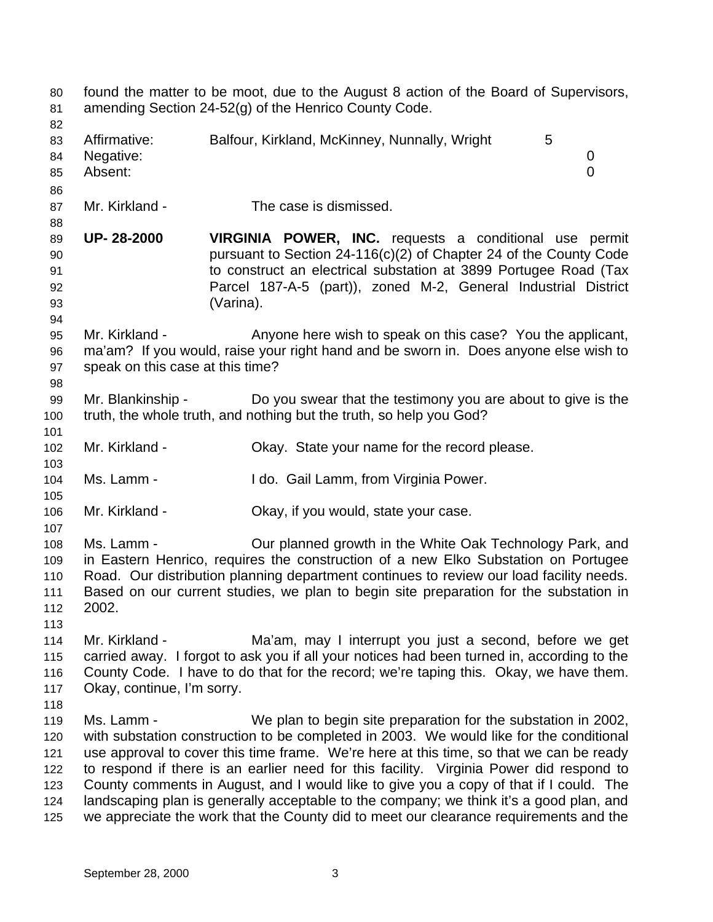found the matter to be moot, due to the August 8 action of the Board of Supervisors, amending Section 24-52(g) of the Henrico County Code. 83 Affirmative: Balfour, Kirkland, McKinney, Nunnally, Wright 5 Negative: 0 Absent: 0 Mr. Kirkland - The case is dismissed. **UP- 28-2000 VIRGINIA POWER, INC.** requests a conditional use permit pursuant to Section 24-116(c)(2) of Chapter 24 of the County Code to construct an electrical substation at 3899 Portugee Road (Tax Parcel 187-A-5 (part)), zoned M-2, General Industrial District (Varina). Mr. Kirkland - Anyone here wish to speak on this case? You the applicant, ma'am? If you would, raise your right hand and be sworn in. Does anyone else wish to speak on this case at this time? Mr. Blankinship - Do you swear that the testimony you are about to give is the truth, the whole truth, and nothing but the truth, so help you God? Mr. Kirkland - Okay. State your name for the record please. Ms. Lamm - I do. Gail Lamm, from Virginia Power. Mr. Kirkland - Okay, if you would, state your case. Ms. Lamm - Our planned growth in the White Oak Technology Park, and in Eastern Henrico, requires the construction of a new Elko Substation on Portugee Road. Our distribution planning department continues to review our load facility needs. Based on our current studies, we plan to begin site preparation for the substation in 2002. Mr. Kirkland - Ma'am, may I interrupt you just a second, before we get carried away. I forgot to ask you if all your notices had been turned in, according to the County Code. I have to do that for the record; we're taping this. Okay, we have them. Okay, continue, I'm sorry. Ms. Lamm - We plan to begin site preparation for the substation in 2002, with substation construction to be completed in 2003. We would like for the conditional use approval to cover this time frame. We're here at this time, so that we can be ready to respond if there is an earlier need for this facility. Virginia Power did respond to County comments in August, and I would like to give you a copy of that if I could. The landscaping plan is generally acceptable to the company; we think it's a good plan, and we appreciate the work that the County did to meet our clearance requirements and the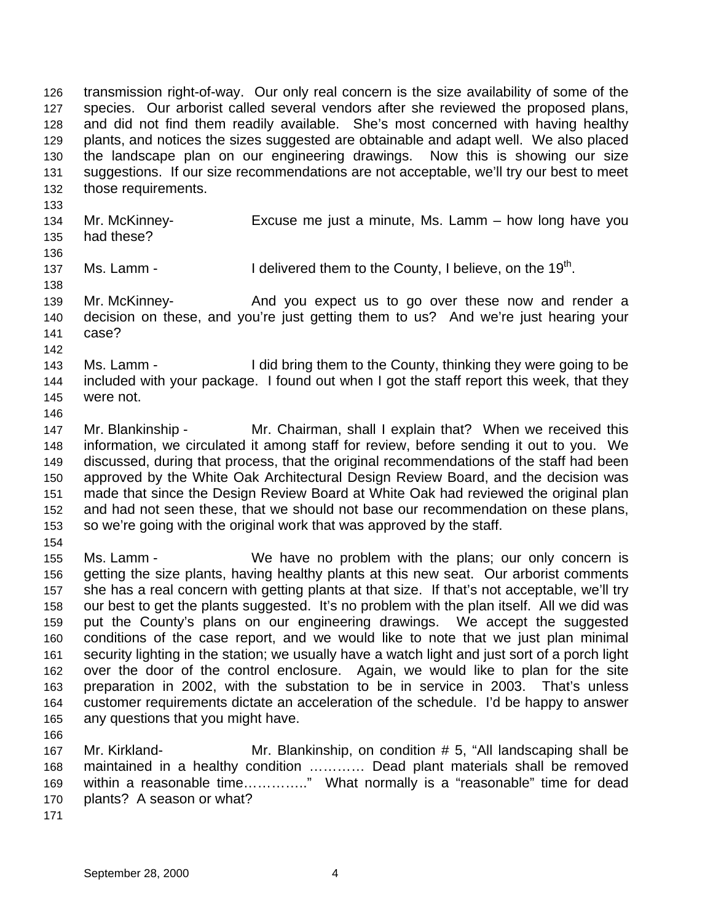transmission right-of-way. Our only real concern is the size availability of some of the species. Our arborist called several vendors after she reviewed the proposed plans, and did not find them readily available. She's most concerned with having healthy plants, and notices the sizes suggested are obtainable and adapt well. We also placed the landscape plan on our engineering drawings. Now this is showing our size suggestions. If our size recommendations are not acceptable, we'll try our best to meet those requirements.

- Mr. McKinney- Excuse me just a minute, Ms. Lamm – how long have you had these?
- 

137 Ms. Lamm - I delivered them to the County, I believe, on the  $19<sup>th</sup>$ .

 Mr. McKinney- And you expect us to go over these now and render a decision on these, and you're just getting them to us? And we're just hearing your case?

 Ms. Lamm - I did bring them to the County, thinking they were going to be included with your package. I found out when I got the staff report this week, that they were not.

 Mr. Blankinship - Mr. Chairman, shall I explain that? When we received this information, we circulated it among staff for review, before sending it out to you. We discussed, during that process, that the original recommendations of the staff had been approved by the White Oak Architectural Design Review Board, and the decision was made that since the Design Review Board at White Oak had reviewed the original plan and had not seen these, that we should not base our recommendation on these plans, so we're going with the original work that was approved by the staff.

 Ms. Lamm - We have no problem with the plans; our only concern is getting the size plants, having healthy plants at this new seat. Our arborist comments she has a real concern with getting plants at that size. If that's not acceptable, we'll try our best to get the plants suggested. It's no problem with the plan itself. All we did was put the County's plans on our engineering drawings. We accept the suggested conditions of the case report, and we would like to note that we just plan minimal security lighting in the station; we usually have a watch light and just sort of a porch light over the door of the control enclosure. Again, we would like to plan for the site preparation in 2002, with the substation to be in service in 2003. That's unless customer requirements dictate an acceleration of the schedule. I'd be happy to answer any questions that you might have.

 Mr. Kirkland- Mr. Blankinship, on condition # 5, "All landscaping shall be maintained in a healthy condition ………… Dead plant materials shall be removed within a reasonable time………….." What normally is a "reasonable" time for dead plants? A season or what?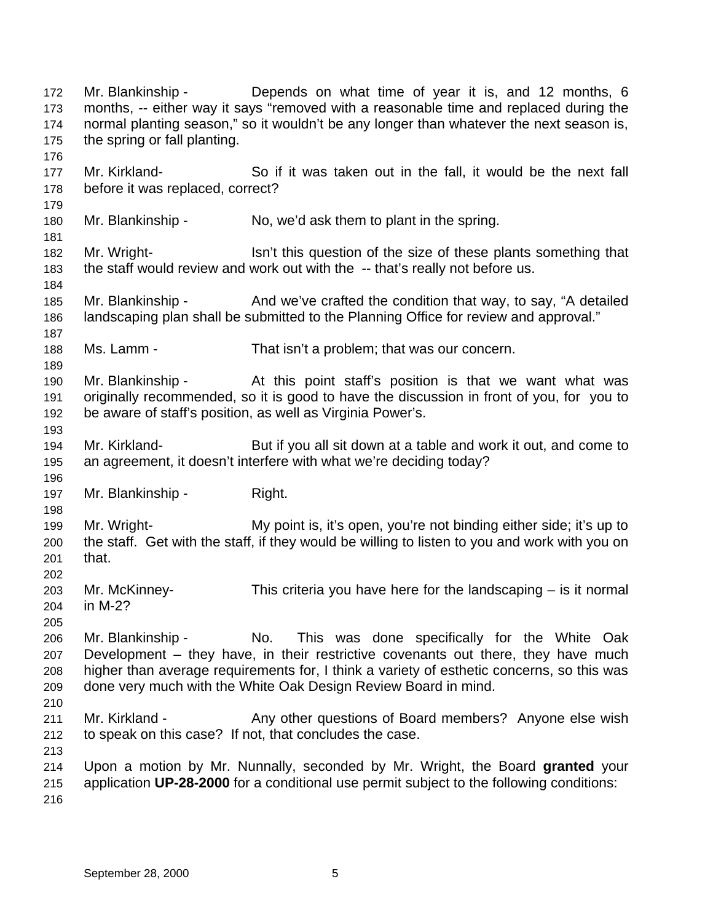Mr. Blankinship - Depends on what time of year it is, and 12 months, 6 months, -- either way it says "removed with a reasonable time and replaced during the normal planting season," so it wouldn't be any longer than whatever the next season is, the spring or fall planting. Mr. Kirkland- So if it was taken out in the fall, it would be the next fall before it was replaced, correct? Mr. Blankinship - No, we'd ask them to plant in the spring. Mr. Wright- Isn't this question of the size of these plants something that the staff would review and work out with the -- that's really not before us. 185 Mr. Blankinship - And we've crafted the condition that way, to say, "A detailed landscaping plan shall be submitted to the Planning Office for review and approval." Ms. Lamm - That isn't a problem; that was our concern. Mr. Blankinship - At this point staff's position is that we want what was originally recommended, so it is good to have the discussion in front of you, for you to be aware of staff's position, as well as Virginia Power's. Mr. Kirkland- But if you all sit down at a table and work it out, and come to an agreement, it doesn't interfere with what we're deciding today? Mr. Blankinship - Right. Mr. Wright- My point is, it's open, you're not binding either side; it's up to the staff. Get with the staff, if they would be willing to listen to you and work with you on that. Mr. McKinney- This criteria you have here for the landscaping – is it normal in M-2? Mr. Blankinship - No. This was done specifically for the White Oak Development – they have, in their restrictive covenants out there, they have much higher than average requirements for, I think a variety of esthetic concerns, so this was done very much with the White Oak Design Review Board in mind. 211 Mr. Kirkland - Any other questions of Board members? Anyone else wish to speak on this case? If not, that concludes the case. Upon a motion by Mr. Nunnally, seconded by Mr. Wright, the Board **granted** your application **UP-28-2000** for a conditional use permit subject to the following conditions: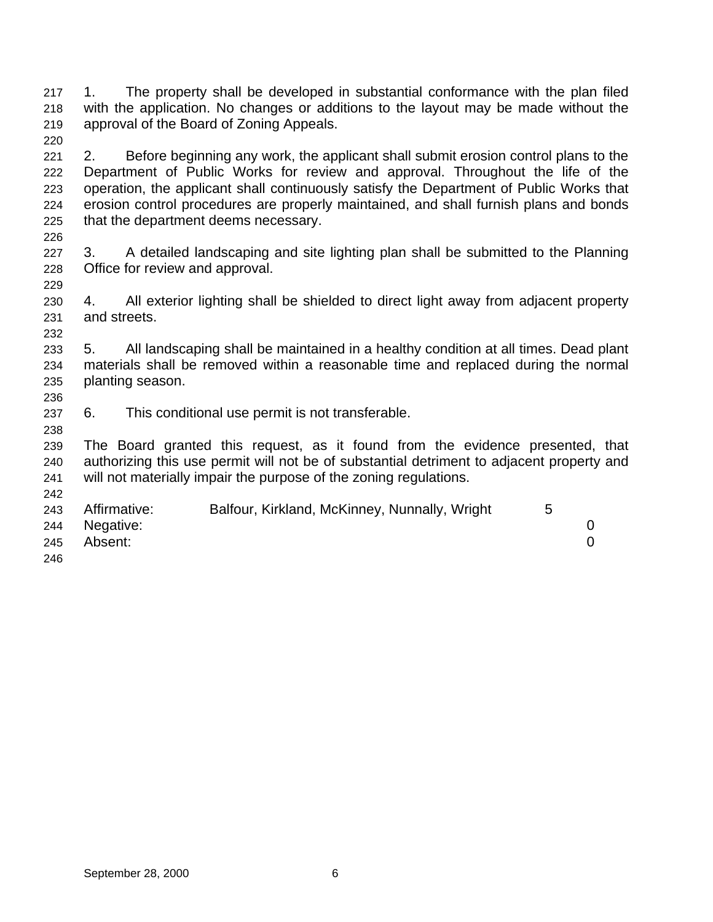1. The property shall be developed in substantial conformance with the plan filed with the application. No changes or additions to the layout may be made without the approval of the Board of Zoning Appeals. 

- 2. Before beginning any work, the applicant shall submit erosion control plans to the Department of Public Works for review and approval. Throughout the life of the operation, the applicant shall continuously satisfy the Department of Public Works that erosion control procedures are properly maintained, and shall furnish plans and bonds that the department deems necessary.
- 

- 227 3. A detailed landscaping and site lighting plan shall be submitted to the Planning Office for review and approval.
- 4. All exterior lighting shall be shielded to direct light away from adjacent property and streets.
- 5. All landscaping shall be maintained in a healthy condition at all times. Dead plant materials shall be removed within a reasonable time and replaced during the normal planting season.
- 6. This conditional use permit is not transferable.
- The Board granted this request, as it found from the evidence presented, that authorizing this use permit will not be of substantial detriment to adjacent property and will not materially impair the purpose of the zoning regulations.
- Affirmative: Balfour, Kirkland, McKinney, Nunnally, Wright 5 Negative: 0 Absent: 0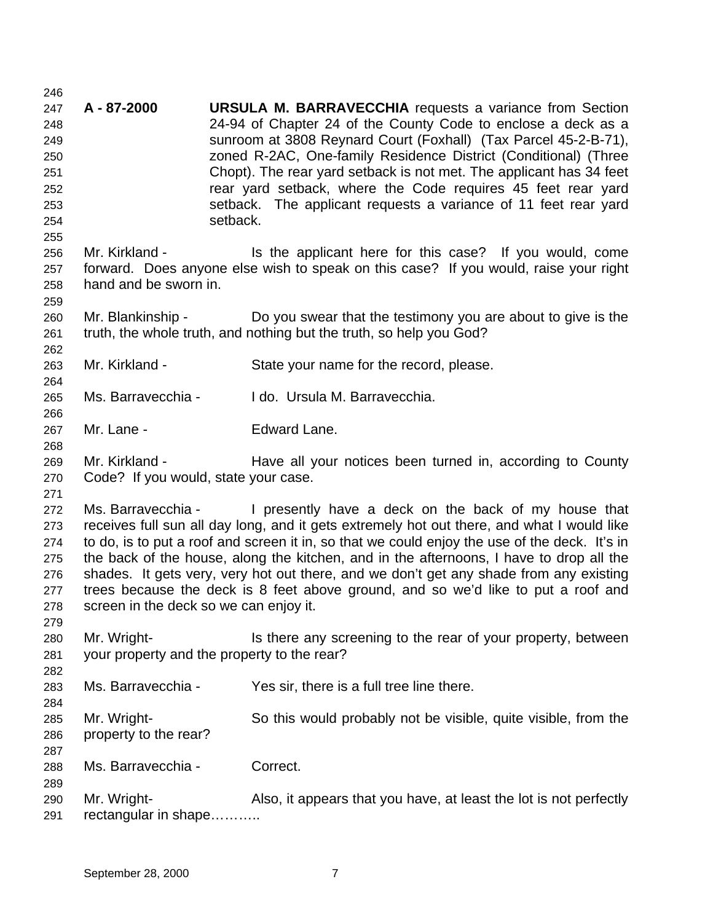**A - 87-2000 URSULA M. BARRAVECCHIA** requests a variance from Section 24-94 of Chapter 24 of the County Code to enclose a deck as a sunroom at 3808 Reynard Court (Foxhall) (Tax Parcel 45-2-B-71), zoned R-2AC, One-family Residence District (Conditional) (Three Chopt). The rear yard setback is not met. The applicant has 34 feet rear yard setback, where the Code requires 45 feet rear yard setback. The applicant requests a variance of 11 feet rear yard setback. Mr. Kirkland - Is the applicant here for this case? If you would, come forward. Does anyone else wish to speak on this case? If you would, raise your right hand and be sworn in. Mr. Blankinship - Do you swear that the testimony you are about to give is the truth, the whole truth, and nothing but the truth, so help you God? Mr. Kirkland - State your name for the record, please. Ms. Barravecchia - I do. Ursula M. Barravecchia. Mr. Lane - Edward Lane. Mr. Kirkland - Have all your notices been turned in, according to County Code? If you would, state your case. Ms. Barravecchia - I presently have a deck on the back of my house that receives full sun all day long, and it gets extremely hot out there, and what I would like to do, is to put a roof and screen it in, so that we could enjoy the use of the deck. It's in the back of the house, along the kitchen, and in the afternoons, I have to drop all the shades. It gets very, very hot out there, and we don't get any shade from any existing trees because the deck is 8 feet above ground, and so we'd like to put a roof and screen in the deck so we can enjoy it. Mr. Wright- Is there any screening to the rear of your property, between your property and the property to the rear? Ms. Barravecchia - Yes sir, there is a full tree line there. Mr. Wright- So this would probably not be visible, quite visible, from the property to the rear? Ms. Barravecchia - Correct. Mr. Wright- Also, it appears that you have, at least the lot is not perfectly rectangular in shape………..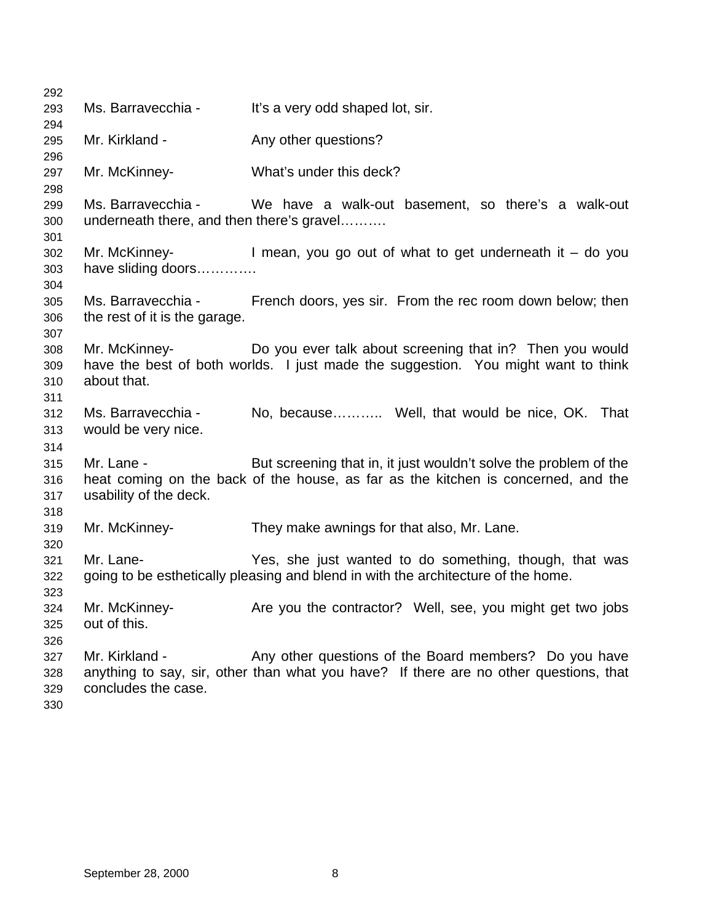| 292 |                                           |                                                                                         |
|-----|-------------------------------------------|-----------------------------------------------------------------------------------------|
| 293 | Ms. Barravecchia -                        | It's a very odd shaped lot, sir.                                                        |
| 294 |                                           |                                                                                         |
| 295 | Mr. Kirkland -                            | Any other questions?                                                                    |
| 296 |                                           |                                                                                         |
| 297 | Mr. McKinney-                             | What's under this deck?                                                                 |
| 298 |                                           |                                                                                         |
| 299 |                                           | Ms. Barravecchia - We have a walk-out basement, so there's a walk-out                   |
| 300 | underneath there, and then there's gravel |                                                                                         |
| 301 |                                           |                                                                                         |
| 302 |                                           | Mr. McKinney- $\blacksquare$ I mean, you go out of what to get underneath it $-$ do you |
| 303 | have sliding doors                        |                                                                                         |
| 304 |                                           |                                                                                         |
| 305 |                                           | Ms. Barravecchia - French doors, yes sir. From the rec room down below; then            |
| 306 | the rest of it is the garage.             |                                                                                         |
| 307 |                                           |                                                                                         |
| 308 | Mr. McKinney-                             | Do you ever talk about screening that in? Then you would                                |
| 309 |                                           | have the best of both worlds. I just made the suggestion. You might want to think       |
| 310 | about that.                               |                                                                                         |
| 311 |                                           |                                                                                         |
| 312 | Ms. Barravecchia -                        | No, because Well, that would be nice, OK. That                                          |
| 313 | would be very nice.                       |                                                                                         |
| 314 |                                           |                                                                                         |
| 315 | Mr. Lane -                                | But screening that in, it just wouldn't solve the problem of the                        |
| 316 |                                           | heat coming on the back of the house, as far as the kitchen is concerned, and the       |
| 317 | usability of the deck.                    |                                                                                         |
| 318 |                                           |                                                                                         |
| 319 | Mr. McKinney-                             | They make awnings for that also, Mr. Lane.                                              |
| 320 |                                           |                                                                                         |
| 321 | Mr. Lane-                                 | Yes, she just wanted to do something, though, that was                                  |
| 322 |                                           | going to be esthetically pleasing and blend in with the architecture of the home.       |
| 323 |                                           |                                                                                         |
| 324 | Mr. McKinney-                             | Are you the contractor? Well, see, you might get two jobs                               |
| 325 | out of this.                              |                                                                                         |
| 326 |                                           |                                                                                         |
| 327 | Mr. Kirkland -                            | Any other questions of the Board members? Do you have                                   |
| 328 |                                           | anything to say, sir, other than what you have? If there are no other questions, that   |
| 329 | concludes the case.                       |                                                                                         |
| 330 |                                           |                                                                                         |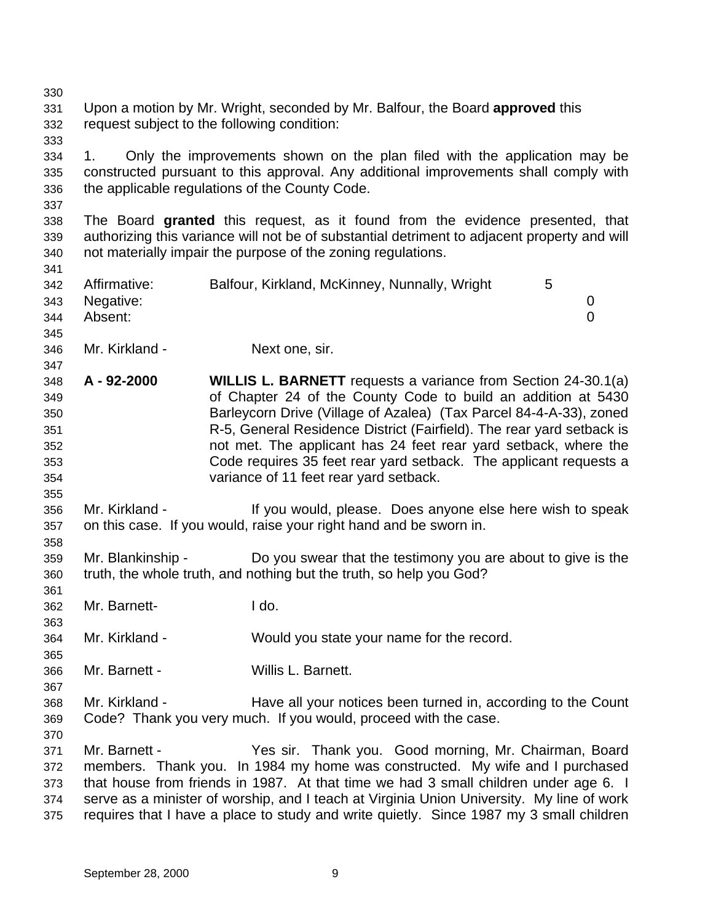| 330 |                                             |                                                                                              |  |  |
|-----|---------------------------------------------|----------------------------------------------------------------------------------------------|--|--|
| 331 |                                             | Upon a motion by Mr. Wright, seconded by Mr. Balfour, the Board approved this                |  |  |
| 332 | request subject to the following condition: |                                                                                              |  |  |
| 333 |                                             |                                                                                              |  |  |
| 334 | 1.                                          | Only the improvements shown on the plan filed with the application may be                    |  |  |
| 335 |                                             | constructed pursuant to this approval. Any additional improvements shall comply with         |  |  |
| 336 |                                             | the applicable regulations of the County Code.                                               |  |  |
| 337 |                                             |                                                                                              |  |  |
| 338 |                                             | The Board granted this request, as it found from the evidence presented, that                |  |  |
| 339 |                                             | authorizing this variance will not be of substantial detriment to adjacent property and will |  |  |
| 340 |                                             | not materially impair the purpose of the zoning regulations.                                 |  |  |
| 341 |                                             |                                                                                              |  |  |
| 342 | Affirmative:                                | Balfour, Kirkland, McKinney, Nunnally, Wright<br>5                                           |  |  |
| 343 | Negative:                                   | 0                                                                                            |  |  |
| 344 | Absent:                                     | $\overline{0}$                                                                               |  |  |
| 345 |                                             |                                                                                              |  |  |
| 346 | Mr. Kirkland -                              | Next one, sir.                                                                               |  |  |
| 347 |                                             |                                                                                              |  |  |
| 348 | A - 92-2000                                 | <b>WILLIS L. BARNETT</b> requests a variance from Section 24-30.1(a)                         |  |  |
| 349 |                                             | of Chapter 24 of the County Code to build an addition at 5430                                |  |  |
| 350 |                                             | Barleycorn Drive (Village of Azalea) (Tax Parcel 84-4-A-33), zoned                           |  |  |
| 351 |                                             | R-5, General Residence District (Fairfield). The rear yard setback is                        |  |  |
| 352 |                                             | not met. The applicant has 24 feet rear yard setback, where the                              |  |  |
| 353 |                                             | Code requires 35 feet rear yard setback. The applicant requests a                            |  |  |
| 354 |                                             | variance of 11 feet rear yard setback.                                                       |  |  |
| 355 |                                             |                                                                                              |  |  |
| 356 | Mr. Kirkland -                              | If you would, please. Does anyone else here wish to speak                                    |  |  |
| 357 |                                             | on this case. If you would, raise your right hand and be sworn in.                           |  |  |
| 358 |                                             |                                                                                              |  |  |
| 359 | Mr. Blankinship -                           | Do you swear that the testimony you are about to give is the                                 |  |  |
| 360 |                                             | truth, the whole truth, and nothing but the truth, so help you God?                          |  |  |
| 361 |                                             |                                                                                              |  |  |
| 362 | Mr. Barnett-                                | I do.                                                                                        |  |  |
| 363 |                                             |                                                                                              |  |  |
| 364 | Mr. Kirkland -                              | Would you state your name for the record.                                                    |  |  |
| 365 |                                             |                                                                                              |  |  |
| 366 | Mr. Barnett -                               | Willis L. Barnett.                                                                           |  |  |
| 367 |                                             |                                                                                              |  |  |
| 368 | Mr. Kirkland -                              | Have all your notices been turned in, according to the Count                                 |  |  |
| 369 |                                             | Code? Thank you very much. If you would, proceed with the case.                              |  |  |
| 370 |                                             |                                                                                              |  |  |
| 371 | Mr. Barnett -                               | Yes sir. Thank you. Good morning, Mr. Chairman, Board                                        |  |  |
| 372 |                                             | members. Thank you. In 1984 my home was constructed. My wife and I purchased                 |  |  |
| 373 |                                             | that house from friends in 1987. At that time we had 3 small children under age 6. I         |  |  |
| 374 |                                             | serve as a minister of worship, and I teach at Virginia Union University. My line of work    |  |  |
| 375 |                                             | requires that I have a place to study and write quietly. Since 1987 my 3 small children      |  |  |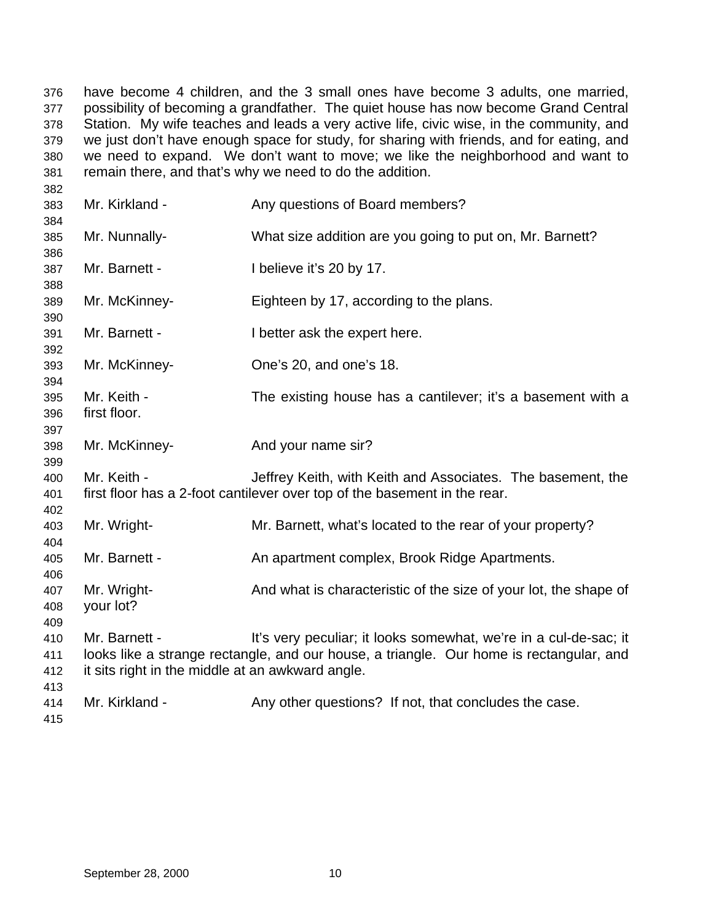have become 4 children, and the 3 small ones have become 3 adults, one married, possibility of becoming a grandfather. The quiet house has now become Grand Central Station. My wife teaches and leads a very active life, civic wise, in the community, and we just don't have enough space for study, for sharing with friends, and for eating, and we need to expand. We don't want to move; we like the neighborhood and want to remain there, and that's why we need to do the addition.

| 383<br>384               | Mr. Kirkland -                                                    | Any questions of Board members?                                                                                                                             |
|--------------------------|-------------------------------------------------------------------|-------------------------------------------------------------------------------------------------------------------------------------------------------------|
| 385<br>386               | Mr. Nunnally-                                                     | What size addition are you going to put on, Mr. Barnett?                                                                                                    |
| 387<br>388               | Mr. Barnett -                                                     | I believe it's 20 by 17.                                                                                                                                    |
| 389<br>390               | Mr. McKinney-                                                     | Eighteen by 17, according to the plans.                                                                                                                     |
| 391<br>392               | Mr. Barnett -                                                     | I better ask the expert here.                                                                                                                               |
| 393<br>394               | Mr. McKinney-                                                     | One's 20, and one's 18.                                                                                                                                     |
| 395<br>396<br>397        | Mr. Keith -<br>first floor.                                       | The existing house has a cantilever; it's a basement with a                                                                                                 |
| 398<br>399               | Mr. McKinney-                                                     | And your name sir?                                                                                                                                          |
| 400<br>401<br>402        | Mr. Keith -                                                       | Jeffrey Keith, with Keith and Associates. The basement, the<br>first floor has a 2-foot cantilever over top of the basement in the rear.                    |
| 403<br>404               | Mr. Wright-                                                       | Mr. Barnett, what's located to the rear of your property?                                                                                                   |
| 405<br>406               | Mr. Barnett -                                                     | An apartment complex, Brook Ridge Apartments.                                                                                                               |
| 407<br>408<br>409        | Mr. Wright-<br>your lot?                                          | And what is characteristic of the size of your lot, the shape of                                                                                            |
| 410<br>411<br>412<br>413 | Mr. Barnett -<br>it sits right in the middle at an awkward angle. | It's very peculiar; it looks somewhat, we're in a cul-de-sac; it<br>looks like a strange rectangle, and our house, a triangle. Our home is rectangular, and |
| 414<br>415               | Mr. Kirkland -                                                    | Any other questions? If not, that concludes the case.                                                                                                       |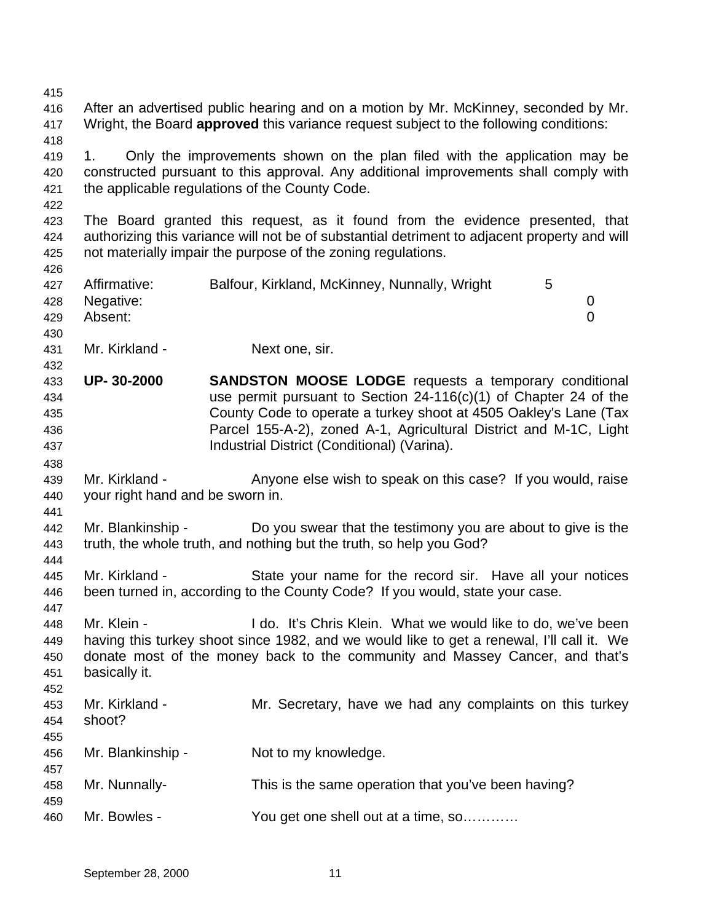After an advertised public hearing and on a motion by Mr. McKinney, seconded by Mr. Wright, the Board **approved** this variance request subject to the following conditions: 1. Only the improvements shown on the plan filed with the application may be constructed pursuant to this approval. Any additional improvements shall comply with the applicable regulations of the County Code. The Board granted this request, as it found from the evidence presented, that authorizing this variance will not be of substantial detriment to adjacent property and will not materially impair the purpose of the zoning regulations. Affirmative: Balfour, Kirkland, McKinney, Nunnally, Wright 5 Negative: 0 Absent: 0 Mr. Kirkland - Next one, sir. **UP- 30-2000 SANDSTON MOOSE LODGE** requests a temporary conditional use permit pursuant to Section 24-116(c)(1) of Chapter 24 of the County Code to operate a turkey shoot at 4505 Oakley's Lane (Tax Parcel 155-A-2), zoned A-1, Agricultural District and M-1C, Light Industrial District (Conditional) (Varina). 439 Mr. Kirkland - Anyone else wish to speak on this case? If you would, raise your right hand and be sworn in. Mr. Blankinship - Do you swear that the testimony you are about to give is the truth, the whole truth, and nothing but the truth, so help you God? Mr. Kirkland - State your name for the record sir. Have all your notices been turned in, according to the County Code? If you would, state your case. Mr. Klein - I do. It's Chris Klein. What we would like to do, we've been having this turkey shoot since 1982, and we would like to get a renewal, I'll call it. We donate most of the money back to the community and Massey Cancer, and that's basically it. Mr. Kirkland - Mr. Secretary, have we had any complaints on this turkey shoot? Mr. Blankinship - Not to my knowledge. Mr. Nunnally- This is the same operation that you've been having? Mr. Bowles - You get one shell out at a time, so…………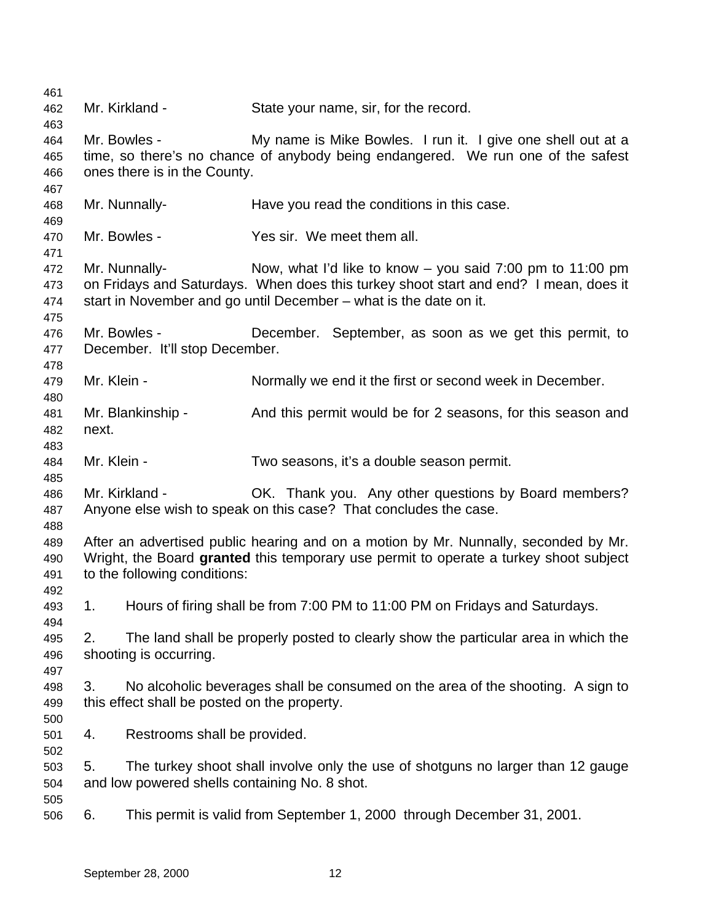Mr. Kirkland - State your name, sir, for the record. Mr. Bowles - My name is Mike Bowles. I run it. I give one shell out at a time, so there's no chance of anybody being endangered. We run one of the safest ones there is in the County. Mr. Nunnally- Have you read the conditions in this case. Mr. Bowles - Yes sir. We meet them all. Mr. Nunnally- Now, what I'd like to know – you said 7:00 pm to 11:00 pm on Fridays and Saturdays. When does this turkey shoot start and end? I mean, does it start in November and go until December – what is the date on it. Mr. Bowles - December. September, as soon as we get this permit, to December. It'll stop December. 479 Mr. Klein - Normally we end it the first or second week in December. Mr. Blankinship - And this permit would be for 2 seasons, for this season and next. Mr. Klein - Two seasons, it's a double season permit. Mr. Kirkland - OK. Thank you. Any other questions by Board members? Anyone else wish to speak on this case? That concludes the case. After an advertised public hearing and on a motion by Mr. Nunnally, seconded by Mr. Wright, the Board **granted** this temporary use permit to operate a turkey shoot subject to the following conditions: 1. Hours of firing shall be from 7:00 PM to 11:00 PM on Fridays and Saturdays. 2. The land shall be properly posted to clearly show the particular area in which the shooting is occurring. 3. No alcoholic beverages shall be consumed on the area of the shooting. A sign to this effect shall be posted on the property. 4. Restrooms shall be provided. 5. The turkey shoot shall involve only the use of shotguns no larger than 12 gauge and low powered shells containing No. 8 shot. 6. This permit is valid from September 1, 2000 through December 31, 2001.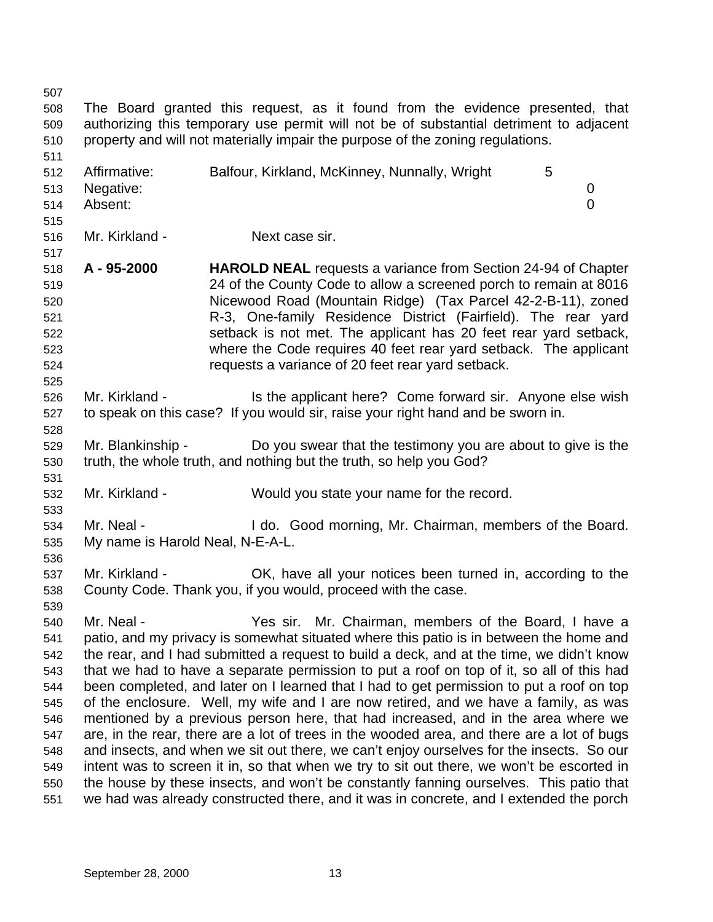The Board granted this request, as it found from the evidence presented, that authorizing this temporary use permit will not be of substantial detriment to adjacent property and will not materially impair the purpose of the zoning regulations. 512 Affirmative: Balfour, Kirkland, McKinney, Nunnally, Wright 5 Negative: 0 Absent: 0 Mr. Kirkland - Next case sir. **A - 95-2000 HAROLD NEAL** requests a variance from Section 24-94 of Chapter 24 of the County Code to allow a screened porch to remain at 8016 Nicewood Road (Mountain Ridge) (Tax Parcel 42-2-B-11), zoned R-3, One-family Residence District (Fairfield). The rear yard setback is not met. The applicant has 20 feet rear yard setback, where the Code requires 40 feet rear yard setback. The applicant requests a variance of 20 feet rear yard setback. 526 Mr. Kirkland - Is the applicant here? Come forward sir. Anyone else wish to speak on this case? If you would sir, raise your right hand and be sworn in. Mr. Blankinship - Do you swear that the testimony you are about to give is the truth, the whole truth, and nothing but the truth, so help you God? Mr. Kirkland - Would you state your name for the record. Mr. Neal - I do. Good morning, Mr. Chairman, members of the Board. My name is Harold Neal, N-E-A-L. Mr. Kirkland - OK, have all your notices been turned in, according to the County Code. Thank you, if you would, proceed with the case. Mr. Neal - Yes sir. Mr. Chairman, members of the Board, I have a patio, and my privacy is somewhat situated where this patio is in between the home and the rear, and I had submitted a request to build a deck, and at the time, we didn't know that we had to have a separate permission to put a roof on top of it, so all of this had been completed, and later on I learned that I had to get permission to put a roof on top of the enclosure. Well, my wife and I are now retired, and we have a family, as was mentioned by a previous person here, that had increased, and in the area where we are, in the rear, there are a lot of trees in the wooded area, and there are a lot of bugs and insects, and when we sit out there, we can't enjoy ourselves for the insects. So our intent was to screen it in, so that when we try to sit out there, we won't be escorted in the house by these insects, and won't be constantly fanning ourselves. This patio that we had was already constructed there, and it was in concrete, and I extended the porch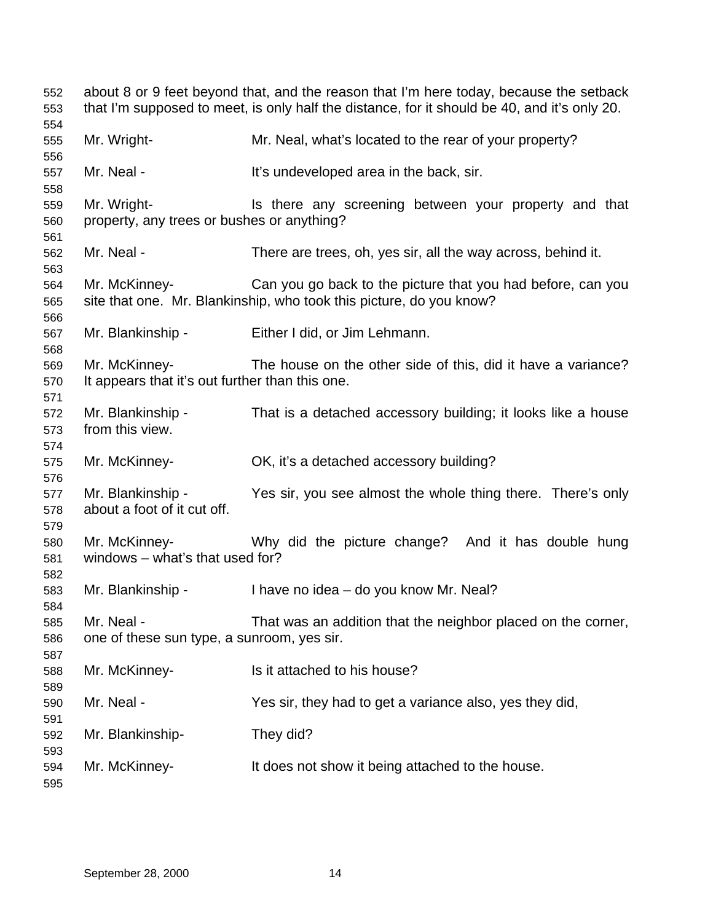| 552<br>553        | about 8 or 9 feet beyond that, and the reason that I'm here today, because the setback<br>that I'm supposed to meet, is only half the distance, for it should be 40, and it's only 20. |                                                                                                                                    |  |
|-------------------|----------------------------------------------------------------------------------------------------------------------------------------------------------------------------------------|------------------------------------------------------------------------------------------------------------------------------------|--|
| 554<br>555<br>556 | Mr. Wright-                                                                                                                                                                            | Mr. Neal, what's located to the rear of your property?                                                                             |  |
| 557<br>558        | Mr. Neal -                                                                                                                                                                             | It's undeveloped area in the back, sir.                                                                                            |  |
| 559<br>560<br>561 | Mr. Wright-<br>property, any trees or bushes or anything?                                                                                                                              | Is there any screening between your property and that                                                                              |  |
| 562<br>563        | Mr. Neal -                                                                                                                                                                             | There are trees, oh, yes sir, all the way across, behind it.                                                                       |  |
| 564<br>565<br>566 | Mr. McKinney-                                                                                                                                                                          | Can you go back to the picture that you had before, can you<br>site that one. Mr. Blankinship, who took this picture, do you know? |  |
| 567<br>568        | Mr. Blankinship -                                                                                                                                                                      | Either I did, or Jim Lehmann.                                                                                                      |  |
| 569<br>570<br>571 | Mr. McKinney-<br>It appears that it's out further than this one.                                                                                                                       | The house on the other side of this, did it have a variance?                                                                       |  |
| 572<br>573<br>574 | Mr. Blankinship -<br>from this view.                                                                                                                                                   | That is a detached accessory building; it looks like a house                                                                       |  |
| 575<br>576        | Mr. McKinney-                                                                                                                                                                          | OK, it's a detached accessory building?                                                                                            |  |
| 577<br>578<br>579 | Mr. Blankinship -<br>about a foot of it cut off.                                                                                                                                       | Yes sir, you see almost the whole thing there. There's only                                                                        |  |
| 580<br>581<br>582 | Mr. McKinney-<br>windows - what's that used for?                                                                                                                                       | Why did the picture change? And it has double hung                                                                                 |  |
| 583<br>584        | Mr. Blankinship -                                                                                                                                                                      | I have no idea – do you know Mr. Neal?                                                                                             |  |
| 585<br>586<br>587 | Mr. Neal -<br>one of these sun type, a sunroom, yes sir.                                                                                                                               | That was an addition that the neighbor placed on the corner,                                                                       |  |
| 588<br>589        | Mr. McKinney-                                                                                                                                                                          | Is it attached to his house?                                                                                                       |  |
| 590<br>591        | Mr. Neal -                                                                                                                                                                             | Yes sir, they had to get a variance also, yes they did,                                                                            |  |
| 592<br>593        | Mr. Blankinship-                                                                                                                                                                       | They did?                                                                                                                          |  |
| 594<br>595        | Mr. McKinney-                                                                                                                                                                          | It does not show it being attached to the house.                                                                                   |  |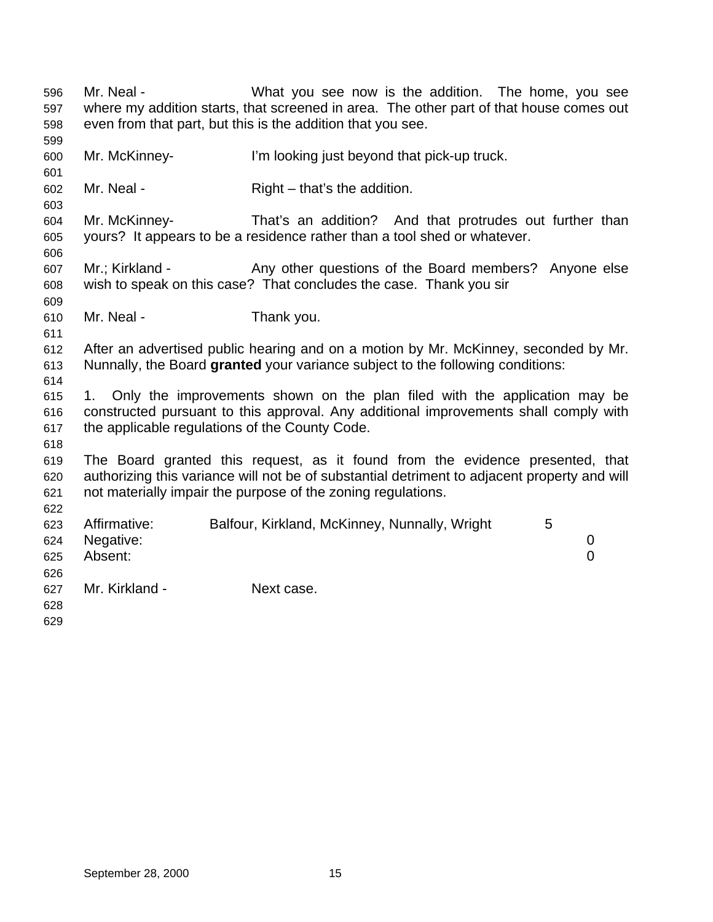Mr. Neal - What you see now is the addition. The home, you see where my addition starts, that screened in area. The other part of that house comes out even from that part, but this is the addition that you see. Mr. McKinney- I'm looking just beyond that pick-up truck. 602 Mr. Neal - Right – that's the addition. Mr. McKinney- That's an addition? And that protrudes out further than yours? It appears to be a residence rather than a tool shed or whatever. 607 Mr.; Kirkland - Any other questions of the Board members? Anyone else wish to speak on this case? That concludes the case. Thank you sir Mr. Neal - Thank you. After an advertised public hearing and on a motion by Mr. McKinney, seconded by Mr. Nunnally, the Board **granted** your variance subject to the following conditions: 1. Only the improvements shown on the plan filed with the application may be constructed pursuant to this approval. Any additional improvements shall comply with the applicable regulations of the County Code. The Board granted this request, as it found from the evidence presented, that authorizing this variance will not be of substantial detriment to adjacent property and will not materially impair the purpose of the zoning regulations. Affirmative: Balfour, Kirkland, McKinney, Nunnally, Wright 5 Negative: 0 Absent: 0 Mr. Kirkland - Next case.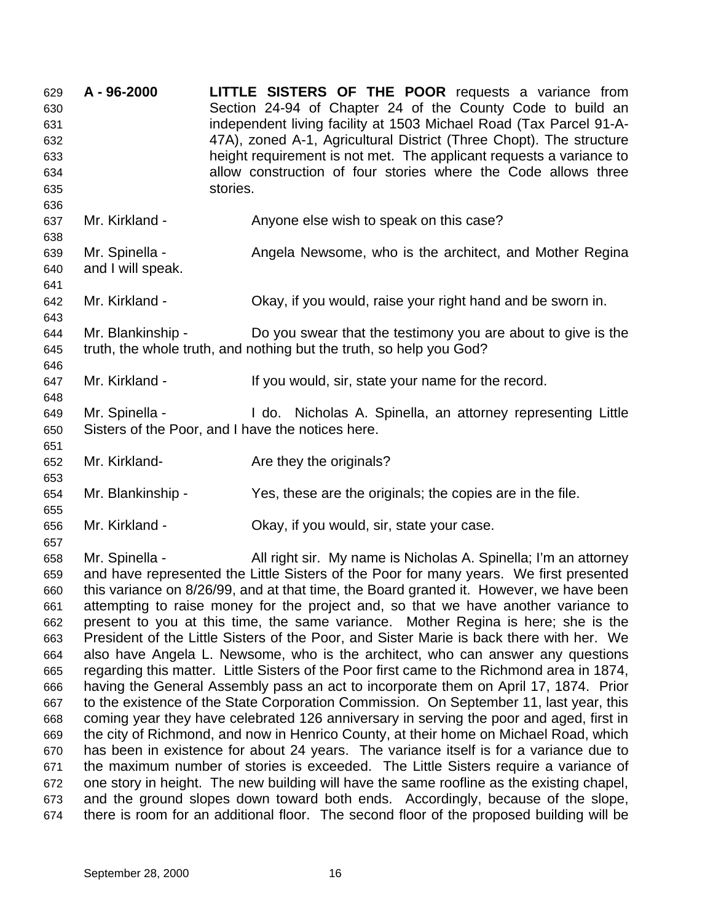**A - 96-2000 LITTLE SISTERS OF THE POOR** requests a variance from Section 24-94 of Chapter 24 of the County Code to build an independent living facility at 1503 Michael Road (Tax Parcel 91-A- 47A), zoned A-1, Agricultural District (Three Chopt). The structure height requirement is not met. The applicant requests a variance to allow construction of four stories where the Code allows three stories. Mr. Kirkland - Anyone else wish to speak on this case? Mr. Spinella - Angela Newsome, who is the architect, and Mother Regina and I will speak. Mr. Kirkland - Okay, if you would, raise your right hand and be sworn in. Mr. Blankinship - Do you swear that the testimony you are about to give is the truth, the whole truth, and nothing but the truth, so help you God? 647 Mr. Kirkland - If you would, sir, state your name for the record. Mr. Spinella - I do. Nicholas A. Spinella, an attorney representing Little Sisters of the Poor, and I have the notices here. 652 Mr. Kirkland- **Are they the originals?**  Mr. Blankinship - Yes, these are the originals; the copies are in the file. Mr. Kirkland - Okay, if you would, sir, state your case. Mr. Spinella - All right sir. My name is Nicholas A. Spinella; I'm an attorney and have represented the Little Sisters of the Poor for many years. We first presented this variance on 8/26/99, and at that time, the Board granted it. However, we have been attempting to raise money for the project and, so that we have another variance to present to you at this time, the same variance. Mother Regina is here; she is the President of the Little Sisters of the Poor, and Sister Marie is back there with her. We also have Angela L. Newsome, who is the architect, who can answer any questions regarding this matter. Little Sisters of the Poor first came to the Richmond area in 1874, having the General Assembly pass an act to incorporate them on April 17, 1874. Prior to the existence of the State Corporation Commission. On September 11, last year, this coming year they have celebrated 126 anniversary in serving the poor and aged, first in the city of Richmond, and now in Henrico County, at their home on Michael Road, which has been in existence for about 24 years. The variance itself is for a variance due to the maximum number of stories is exceeded. The Little Sisters require a variance of one story in height. The new building will have the same roofline as the existing chapel, and the ground slopes down toward both ends. Accordingly, because of the slope, there is room for an additional floor. The second floor of the proposed building will be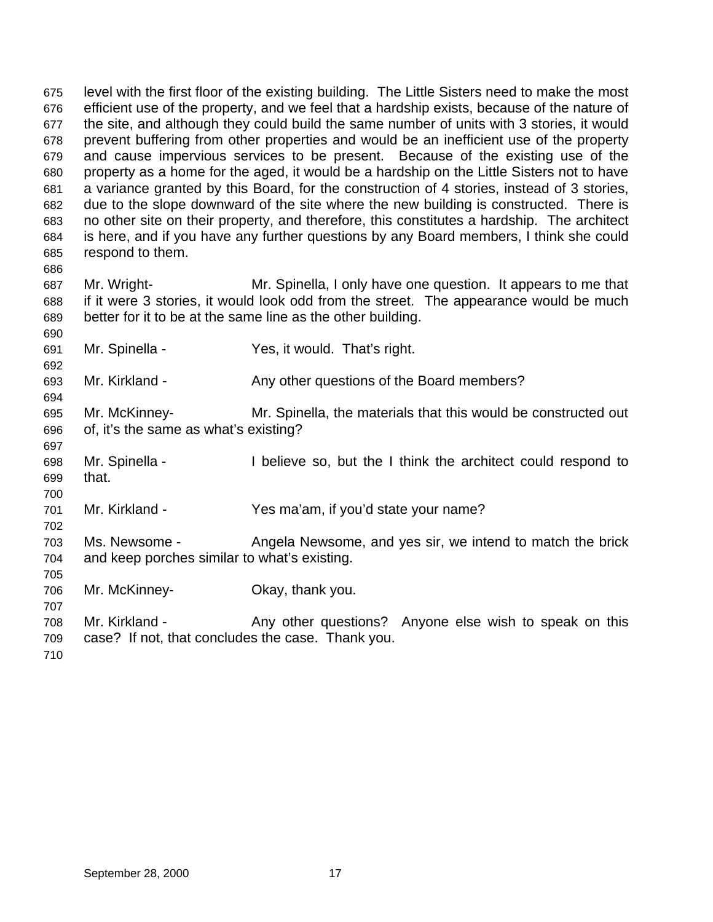level with the first floor of the existing building. The Little Sisters need to make the most efficient use of the property, and we feel that a hardship exists, because of the nature of the site, and although they could build the same number of units with 3 stories, it would prevent buffering from other properties and would be an inefficient use of the property and cause impervious services to be present. Because of the existing use of the property as a home for the aged, it would be a hardship on the Little Sisters not to have a variance granted by this Board, for the construction of 4 stories, instead of 3 stories, due to the slope downward of the site where the new building is constructed. There is no other site on their property, and therefore, this constitutes a hardship. The architect is here, and if you have any further questions by any Board members, I think she could respond to them. 

 Mr. Wright- Mr. Spinella, I only have one question. It appears to me that if it were 3 stories, it would look odd from the street. The appearance would be much better for it to be at the same line as the other building.

- Mr. Spinella Yes, it would. That's right.
- Mr. Kirkland Any other questions of the Board members?
- Mr. McKinney- Mr. Spinella, the materials that this would be constructed out of, it's the same as what's existing?
- Mr. Spinella I believe so, but the I think the architect could respond to that.
- Mr. Kirkland Yes ma'am, if you'd state your name?
- Ms. Newsome Angela Newsome, and yes sir, we intend to match the brick and keep porches similar to what's existing.
- Mr. McKinney- Okay, thank you.
- 708 Mr. Kirkland Any other questions? Anyone else wish to speak on this case? If not, that concludes the case. Thank you.
-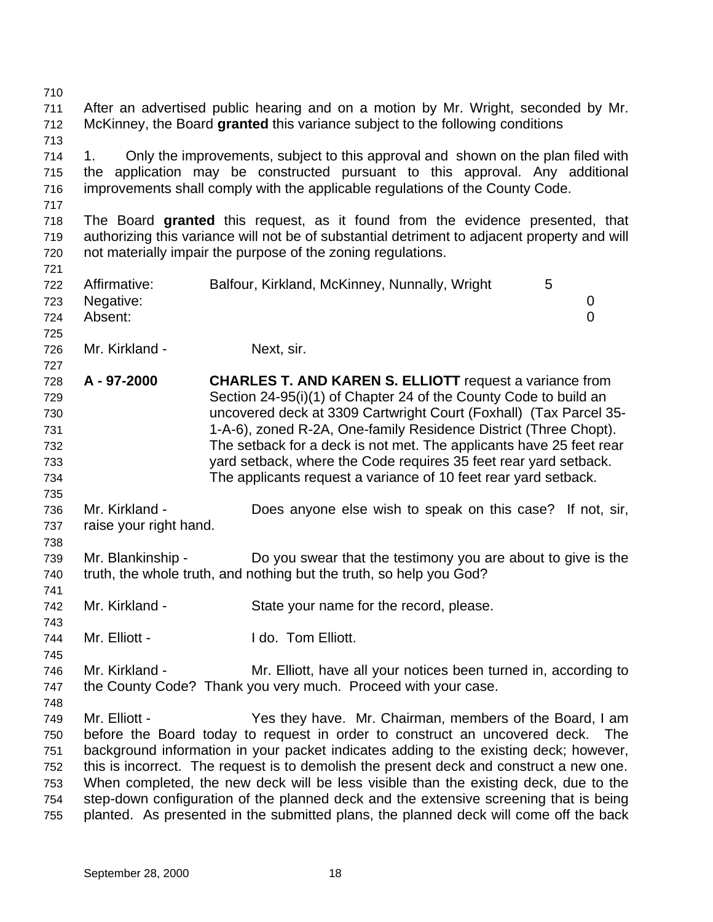After an advertised public hearing and on a motion by Mr. Wright, seconded by Mr. McKinney, the Board **granted** this variance subject to the following conditions 1. Only the improvements, subject to this approval and shown on the plan filed with the application may be constructed pursuant to this approval. Any additional improvements shall comply with the applicable regulations of the County Code. The Board **granted** this request, as it found from the evidence presented, that authorizing this variance will not be of substantial detriment to adjacent property and will not materially impair the purpose of the zoning regulations. Affirmative: Balfour, Kirkland, McKinney, Nunnally, Wright 5 Negative: 0 Absent: 0 Mr. Kirkland - Next, sir. **A - 97-2000 CHARLES T. AND KAREN S. ELLIOTT** request a variance from Section 24-95(i)(1) of Chapter 24 of the County Code to build an uncovered deck at 3309 Cartwright Court (Foxhall) (Tax Parcel 35- 1-A-6), zoned R-2A, One-family Residence District (Three Chopt). The setback for a deck is not met. The applicants have 25 feet rear yard setback, where the Code requires 35 feet rear yard setback. The applicants request a variance of 10 feet rear yard setback. Mr. Kirkland - Does anyone else wish to speak on this case? If not, sir, raise your right hand. Mr. Blankinship - Do you swear that the testimony you are about to give is the truth, the whole truth, and nothing but the truth, so help you God? Mr. Kirkland - State your name for the record, please. 744 Mr. Elliott - I do. Tom Elliott. Mr. Kirkland - Mr. Elliott, have all your notices been turned in, according to the County Code? Thank you very much. Proceed with your case. Mr. Elliott - Yes they have. Mr. Chairman, members of the Board, I am before the Board today to request in order to construct an uncovered deck. The background information in your packet indicates adding to the existing deck; however, this is incorrect. The request is to demolish the present deck and construct a new one. When completed, the new deck will be less visible than the existing deck, due to the step-down configuration of the planned deck and the extensive screening that is being planted. As presented in the submitted plans, the planned deck will come off the back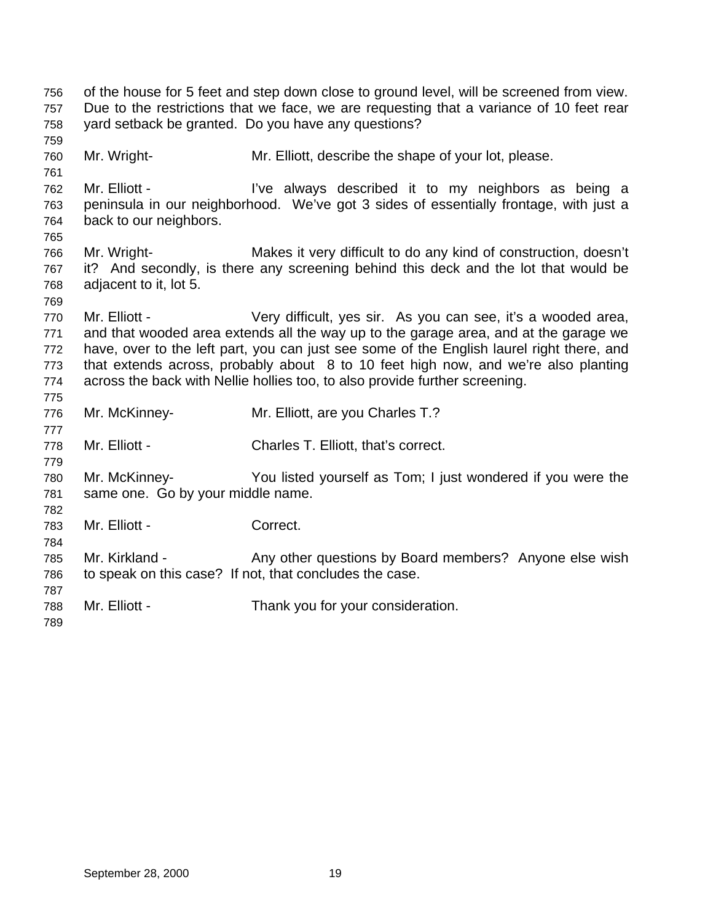| 756 |                                   | of the house for 5 feet and step down close to ground level, will be screened from view.  |
|-----|-----------------------------------|-------------------------------------------------------------------------------------------|
| 757 |                                   | Due to the restrictions that we face, we are requesting that a variance of 10 feet rear   |
| 758 |                                   | yard setback be granted. Do you have any questions?                                       |
| 759 |                                   |                                                                                           |
| 760 | Mr. Wright-                       | Mr. Elliott, describe the shape of your lot, please.                                      |
| 761 |                                   |                                                                                           |
| 762 | Mr. Elliott -                     | I've always described it to my neighbors as being a                                       |
| 763 |                                   | peninsula in our neighborhood. We've got 3 sides of essentially frontage, with just a     |
| 764 | back to our neighbors.            |                                                                                           |
| 765 |                                   |                                                                                           |
| 766 | Mr. Wright-                       | Makes it very difficult to do any kind of construction, doesn't                           |
| 767 |                                   | it? And secondly, is there any screening behind this deck and the lot that would be       |
| 768 | adjacent to it, lot 5.            |                                                                                           |
| 769 |                                   |                                                                                           |
| 770 | Mr. Elliott -                     | Very difficult, yes sir. As you can see, it's a wooded area,                              |
| 771 |                                   | and that wooded area extends all the way up to the garage area, and at the garage we      |
| 772 |                                   | have, over to the left part, you can just see some of the English laurel right there, and |
| 773 |                                   | that extends across, probably about 8 to 10 feet high now, and we're also planting        |
| 774 |                                   | across the back with Nellie hollies too, to also provide further screening.               |
| 775 |                                   |                                                                                           |
| 776 | Mr. McKinney-                     | Mr. Elliott, are you Charles T.?                                                          |
| 777 |                                   |                                                                                           |
| 778 | Mr. Elliott -                     | Charles T. Elliott, that's correct.                                                       |
| 779 |                                   |                                                                                           |
| 780 | Mr. McKinney-                     | You listed yourself as Tom; I just wondered if you were the                               |
| 781 | same one. Go by your middle name. |                                                                                           |
| 782 |                                   |                                                                                           |
| 783 | Mr. Elliott -                     | Correct.                                                                                  |
| 784 |                                   |                                                                                           |
| 785 | Mr. Kirkland -                    | Any other questions by Board members? Anyone else wish                                    |
| 786 |                                   | to speak on this case? If not, that concludes the case.                                   |
| 787 |                                   |                                                                                           |
| 788 | Mr. Elliott -                     | Thank you for your consideration.                                                         |
| 789 |                                   |                                                                                           |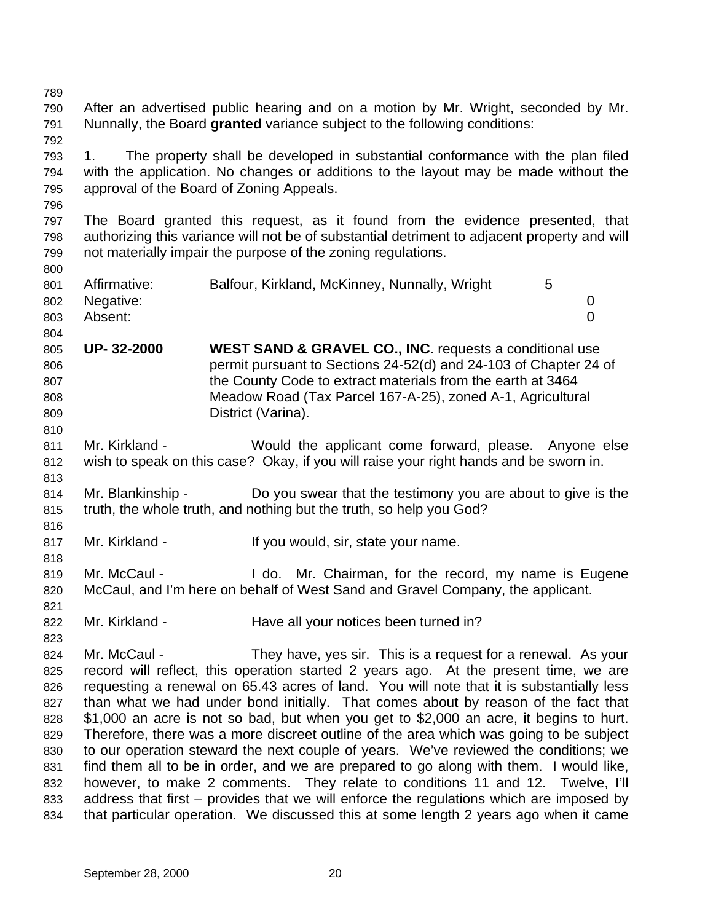After an advertised public hearing and on a motion by Mr. Wright, seconded by Mr. Nunnally, the Board **granted** variance subject to the following conditions: 1. The property shall be developed in substantial conformance with the plan filed with the application. No changes or additions to the layout may be made without the approval of the Board of Zoning Appeals. The Board granted this request, as it found from the evidence presented, that authorizing this variance will not be of substantial detriment to adjacent property and will not materially impair the purpose of the zoning regulations. Affirmative: Balfour, Kirkland, McKinney, Nunnally, Wright 5 Negative: 0 Absent: 0 **UP- 32-2000 WEST SAND & GRAVEL CO., INC**. requests a conditional use permit pursuant to Sections 24-52(d) and 24-103 of Chapter 24 of the County Code to extract materials from the earth at 3464 Meadow Road (Tax Parcel 167-A-25), zoned A-1, Agricultural District (Varina). Mr. Kirkland - Would the applicant come forward, please. Anyone else wish to speak on this case? Okay, if you will raise your right hands and be sworn in. 814 Mr. Blankinship - Do you swear that the testimony you are about to give is the truth, the whole truth, and nothing but the truth, so help you God? 817 Mr. Kirkland - If you would, sir, state your name. Mr. McCaul - I do. Mr. Chairman, for the record, my name is Eugene McCaul, and I'm here on behalf of West Sand and Gravel Company, the applicant. 822 Mr. Kirkland - Have all your notices been turned in? Mr. McCaul - They have, yes sir. This is a request for a renewal. As your record will reflect, this operation started 2 years ago. At the present time, we are requesting a renewal on 65.43 acres of land. You will note that it is substantially less than what we had under bond initially. That comes about by reason of the fact that \$1,000 an acre is not so bad, but when you get to \$2,000 an acre, it begins to hurt. Therefore, there was a more discreet outline of the area which was going to be subject to our operation steward the next couple of years. We've reviewed the conditions; we find them all to be in order, and we are prepared to go along with them. I would like, however, to make 2 comments. They relate to conditions 11 and 12. Twelve, I'll address that first – provides that we will enforce the regulations which are imposed by that particular operation. We discussed this at some length 2 years ago when it came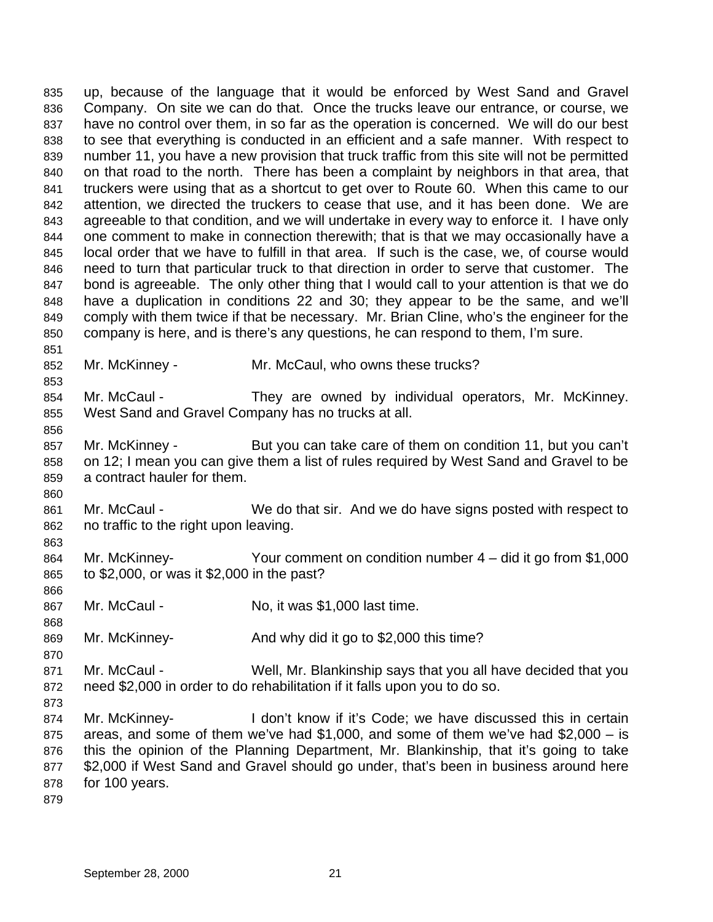up, because of the language that it would be enforced by West Sand and Gravel Company. On site we can do that. Once the trucks leave our entrance, or course, we have no control over them, in so far as the operation is concerned. We will do our best to see that everything is conducted in an efficient and a safe manner. With respect to number 11, you have a new provision that truck traffic from this site will not be permitted on that road to the north. There has been a complaint by neighbors in that area, that truckers were using that as a shortcut to get over to Route 60. When this came to our attention, we directed the truckers to cease that use, and it has been done. We are agreeable to that condition, and we will undertake in every way to enforce it. I have only one comment to make in connection therewith; that is that we may occasionally have a local order that we have to fulfill in that area. If such is the case, we, of course would need to turn that particular truck to that direction in order to serve that customer. The bond is agreeable. The only other thing that I would call to your attention is that we do have a duplication in conditions 22 and 30; they appear to be the same, and we'll comply with them twice if that be necessary. Mr. Brian Cline, who's the engineer for the company is here, and is there's any questions, he can respond to them, I'm sure. 

- Mr. McKinney Mr. McCaul, who owns these trucks?
- 854 Mr. McCaul They are owned by individual operators, Mr. McKinney. West Sand and Gravel Company has no trucks at all.
- Mr. McKinney But you can take care of them on condition 11, but you can't on 12; I mean you can give them a list of rules required by West Sand and Gravel to be a contract hauler for them.
- Mr. McCaul We do that sir. And we do have signs posted with respect to no traffic to the right upon leaving.
- Mr. McKinney- Your comment on condition number 4 did it go from \$1,000 to \$2,000, or was it \$2,000 in the past?
- 867 Mr. McCaul No, it was \$1,000 last time.
- Mr. McKinney- And why did it go to \$2,000 this time?
- Mr. McCaul Well, Mr. Blankinship says that you all have decided that you need \$2,000 in order to do rehabilitation if it falls upon you to do so.
- 

- Mr. McKinney- I don't know if it's Code; we have discussed this in certain areas, and some of them we've had \$1,000, and some of them we've had \$2,000 – is this the opinion of the Planning Department, Mr. Blankinship, that it's going to take \$2,000 if West Sand and Gravel should go under, that's been in business around here for 100 years.
-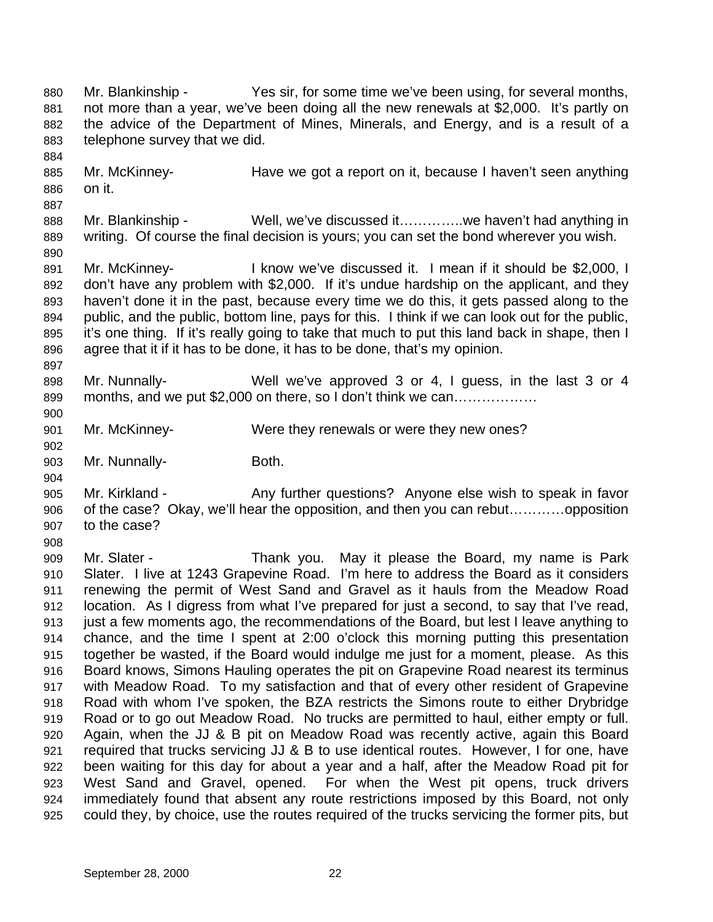880 Mr. Blankinship - Yes sir, for some time we've been using, for several months, not more than a year, we've been doing all the new renewals at \$2,000. It's partly on the advice of the Department of Mines, Minerals, and Energy, and is a result of a telephone survey that we did. Mr. McKinney- Have we got a report on it, because I haven't seen anything on it. 888 Mr. Blankinship - Well, we've discussed it…………we haven't had anything in writing. Of course the final decision is yours; you can set the bond wherever you wish. Mr. McKinney- I know we've discussed it. I mean if it should be \$2,000, I don't have any problem with \$2,000. If it's undue hardship on the applicant, and they haven't done it in the past, because every time we do this, it gets passed along to the public, and the public, bottom line, pays for this. I think if we can look out for the public, it's one thing. If it's really going to take that much to put this land back in shape, then I agree that it if it has to be done, it has to be done, that's my opinion. Mr. Nunnally- Well we've approved 3 or 4, I guess, in the last 3 or 4 899 months, and we put \$2,000 on there, so I don't think we can................. Mr. McKinney- Were they renewals or were they new ones? 903 Mr. Nunnally-<br>
Both. Mr. Kirkland - Any further questions? Anyone else wish to speak in favor of the case? Okay, we'll hear the opposition, and then you can rebut…………opposition to the case? Mr. Slater - Thank you. May it please the Board, my name is Park Slater. I live at 1243 Grapevine Road. I'm here to address the Board as it considers renewing the permit of West Sand and Gravel as it hauls from the Meadow Road location. As I digress from what I've prepared for just a second, to say that I've read, just a few moments ago, the recommendations of the Board, but lest I leave anything to chance, and the time I spent at 2:00 o'clock this morning putting this presentation together be wasted, if the Board would indulge me just for a moment, please. As this Board knows, Simons Hauling operates the pit on Grapevine Road nearest its terminus with Meadow Road. To my satisfaction and that of every other resident of Grapevine Road with whom I've spoken, the BZA restricts the Simons route to either Drybridge Road or to go out Meadow Road. No trucks are permitted to haul, either empty or full. Again, when the JJ & B pit on Meadow Road was recently active, again this Board required that trucks servicing JJ & B to use identical routes. However, I for one, have been waiting for this day for about a year and a half, after the Meadow Road pit for West Sand and Gravel, opened. For when the West pit opens, truck drivers immediately found that absent any route restrictions imposed by this Board, not only could they, by choice, use the routes required of the trucks servicing the former pits, but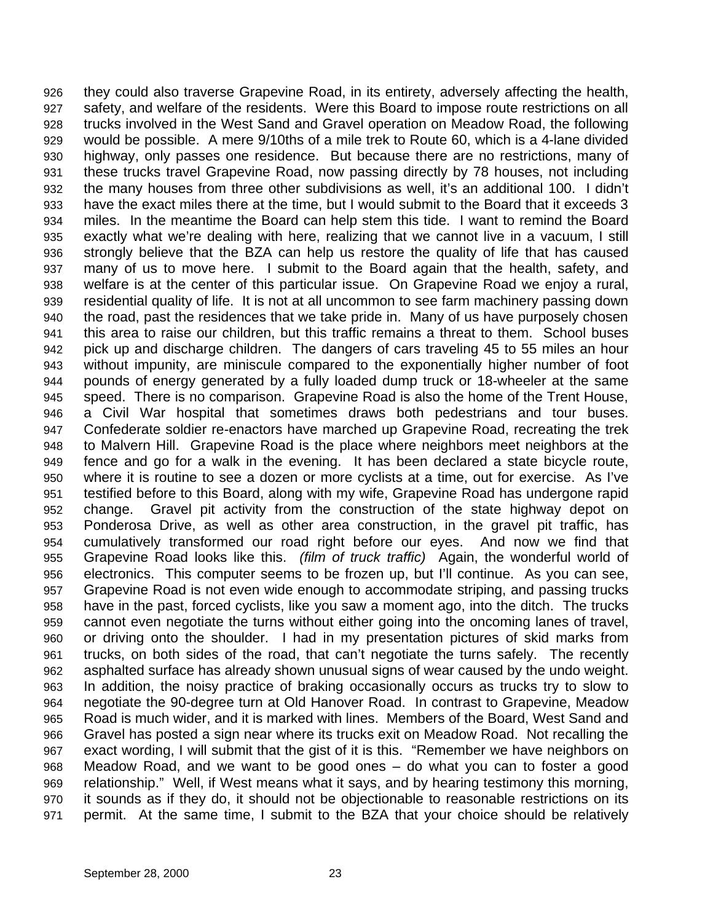they could also traverse Grapevine Road, in its entirety, adversely affecting the health, safety, and welfare of the residents. Were this Board to impose route restrictions on all trucks involved in the West Sand and Gravel operation on Meadow Road, the following would be possible. A mere 9/10ths of a mile trek to Route 60, which is a 4-lane divided highway, only passes one residence. But because there are no restrictions, many of these trucks travel Grapevine Road, now passing directly by 78 houses, not including the many houses from three other subdivisions as well, it's an additional 100. I didn't have the exact miles there at the time, but I would submit to the Board that it exceeds 3 miles. In the meantime the Board can help stem this tide. I want to remind the Board exactly what we're dealing with here, realizing that we cannot live in a vacuum, I still strongly believe that the BZA can help us restore the quality of life that has caused many of us to move here. I submit to the Board again that the health, safety, and welfare is at the center of this particular issue. On Grapevine Road we enjoy a rural, residential quality of life. It is not at all uncommon to see farm machinery passing down the road, past the residences that we take pride in. Many of us have purposely chosen this area to raise our children, but this traffic remains a threat to them. School buses pick up and discharge children. The dangers of cars traveling 45 to 55 miles an hour without impunity, are miniscule compared to the exponentially higher number of foot pounds of energy generated by a fully loaded dump truck or 18-wheeler at the same speed. There is no comparison. Grapevine Road is also the home of the Trent House, a Civil War hospital that sometimes draws both pedestrians and tour buses. Confederate soldier re-enactors have marched up Grapevine Road, recreating the trek to Malvern Hill. Grapevine Road is the place where neighbors meet neighbors at the fence and go for a walk in the evening. It has been declared a state bicycle route, where it is routine to see a dozen or more cyclists at a time, out for exercise. As I've testified before to this Board, along with my wife, Grapevine Road has undergone rapid change. Gravel pit activity from the construction of the state highway depot on Ponderosa Drive, as well as other area construction, in the gravel pit traffic, has cumulatively transformed our road right before our eyes. And now we find that Grapevine Road looks like this. *(film of truck traffic)* Again, the wonderful world of electronics. This computer seems to be frozen up, but I'll continue. As you can see, Grapevine Road is not even wide enough to accommodate striping, and passing trucks have in the past, forced cyclists, like you saw a moment ago, into the ditch. The trucks cannot even negotiate the turns without either going into the oncoming lanes of travel, or driving onto the shoulder. I had in my presentation pictures of skid marks from trucks, on both sides of the road, that can't negotiate the turns safely. The recently asphalted surface has already shown unusual signs of wear caused by the undo weight. In addition, the noisy practice of braking occasionally occurs as trucks try to slow to negotiate the 90-degree turn at Old Hanover Road. In contrast to Grapevine, Meadow Road is much wider, and it is marked with lines. Members of the Board, West Sand and Gravel has posted a sign near where its trucks exit on Meadow Road. Not recalling the exact wording, I will submit that the gist of it is this. "Remember we have neighbors on Meadow Road, and we want to be good ones – do what you can to foster a good relationship." Well, if West means what it says, and by hearing testimony this morning, it sounds as if they do, it should not be objectionable to reasonable restrictions on its permit. At the same time, I submit to the BZA that your choice should be relatively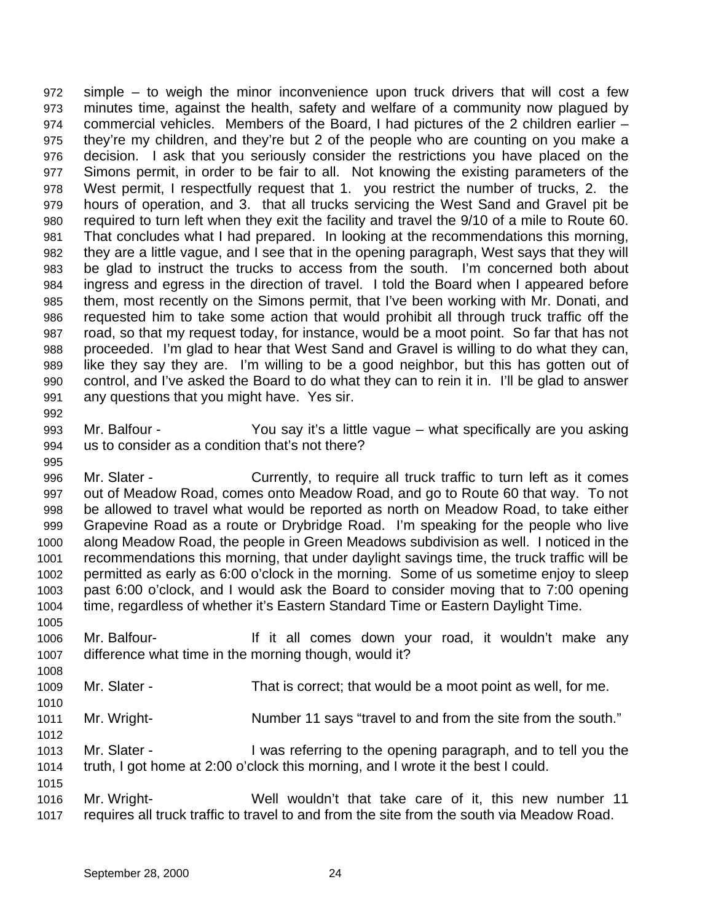simple – to weigh the minor inconvenience upon truck drivers that will cost a few minutes time, against the health, safety and welfare of a community now plagued by commercial vehicles. Members of the Board, I had pictures of the 2 children earlier – they're my children, and they're but 2 of the people who are counting on you make a decision. I ask that you seriously consider the restrictions you have placed on the Simons permit, in order to be fair to all. Not knowing the existing parameters of the West permit, I respectfully request that 1. you restrict the number of trucks, 2. the hours of operation, and 3. that all trucks servicing the West Sand and Gravel pit be required to turn left when they exit the facility and travel the 9/10 of a mile to Route 60. That concludes what I had prepared. In looking at the recommendations this morning, they are a little vague, and I see that in the opening paragraph, West says that they will be glad to instruct the trucks to access from the south. I'm concerned both about ingress and egress in the direction of travel. I told the Board when I appeared before them, most recently on the Simons permit, that I've been working with Mr. Donati, and requested him to take some action that would prohibit all through truck traffic off the road, so that my request today, for instance, would be a moot point. So far that has not proceeded. I'm glad to hear that West Sand and Gravel is willing to do what they can, like they say they are. I'm willing to be a good neighbor, but this has gotten out of control, and I've asked the Board to do what they can to rein it in. I'll be glad to answer any questions that you might have. Yes sir. 

- Mr. Balfour You say it's a little vague what specifically are you asking us to consider as a condition that's not there?
- Mr. Slater Currently, to require all truck traffic to turn left as it comes out of Meadow Road, comes onto Meadow Road, and go to Route 60 that way. To not be allowed to travel what would be reported as north on Meadow Road, to take either Grapevine Road as a route or Drybridge Road. I'm speaking for the people who live along Meadow Road, the people in Green Meadows subdivision as well. I noticed in the recommendations this morning, that under daylight savings time, the truck traffic will be permitted as early as 6:00 o'clock in the morning. Some of us sometime enjoy to sleep past 6:00 o'clock, and I would ask the Board to consider moving that to 7:00 opening time, regardless of whether it's Eastern Standard Time or Eastern Daylight Time.
- Mr. Balfour- If it all comes down your road, it wouldn't make any difference what time in the morning though, would it?
- Mr. Slater That is correct; that would be a moot point as well, for me.
- 1011 Mr. Wright- Number 11 says "travel to and from the site from the south."
- Mr. Slater I was referring to the opening paragraph, and to tell you the truth, I got home at 2:00 o'clock this morning, and I wrote it the best I could.
- Mr. Wright- Well wouldn't that take care of it, this new number 11 requires all truck traffic to travel to and from the site from the south via Meadow Road.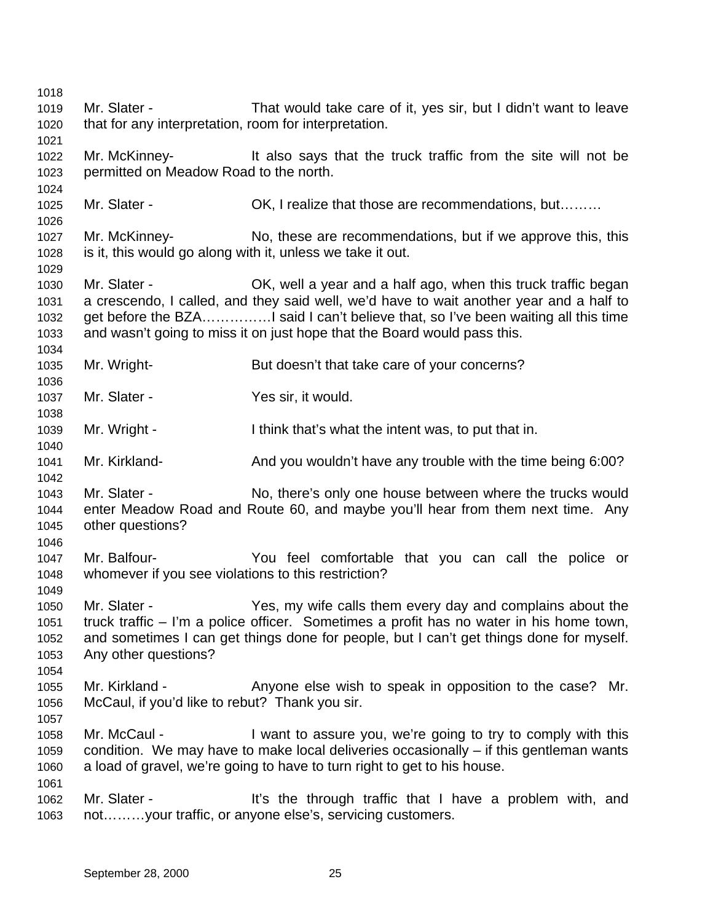Mr. Slater - That would take care of it, yes sir, but I didn't want to leave that for any interpretation, room for interpretation. Mr. McKinney- It also says that the truck traffic from the site will not be permitted on Meadow Road to the north. 1025 Mr. Slater - **OK, I realize that those are recommendations, but………**  Mr. McKinney- No, these are recommendations, but if we approve this, this is it, this would go along with it, unless we take it out. Mr. Slater - OK, well a year and a half ago, when this truck traffic began a crescendo, I called, and they said well, we'd have to wait another year and a half to 1032 get before the BZA................. said I can't believe that, so I've been waiting all this time and wasn't going to miss it on just hope that the Board would pass this. Mr. Wright- But doesn't that take care of your concerns? Mr. Slater - Yes sir, it would. Mr. Wright - I think that's what the intent was, to put that in. Mr. Kirkland- And you wouldn't have any trouble with the time being 6:00? Mr. Slater - No, there's only one house between where the trucks would enter Meadow Road and Route 60, and maybe you'll hear from them next time. Any other questions? Mr. Balfour- You feel comfortable that you can call the police or whomever if you see violations to this restriction? Mr. Slater - Yes, my wife calls them every day and complains about the truck traffic – I'm a police officer. Sometimes a profit has no water in his home town, and sometimes I can get things done for people, but I can't get things done for myself. Any other questions? Mr. Kirkland - Anyone else wish to speak in opposition to the case? Mr. McCaul, if you'd like to rebut? Thank you sir. Mr. McCaul - I want to assure you, we're going to try to comply with this condition. We may have to make local deliveries occasionally – if this gentleman wants a load of gravel, we're going to have to turn right to get to his house. 1062 Mr. Slater - It's the through traffic that I have a problem with, and not………your traffic, or anyone else's, servicing customers.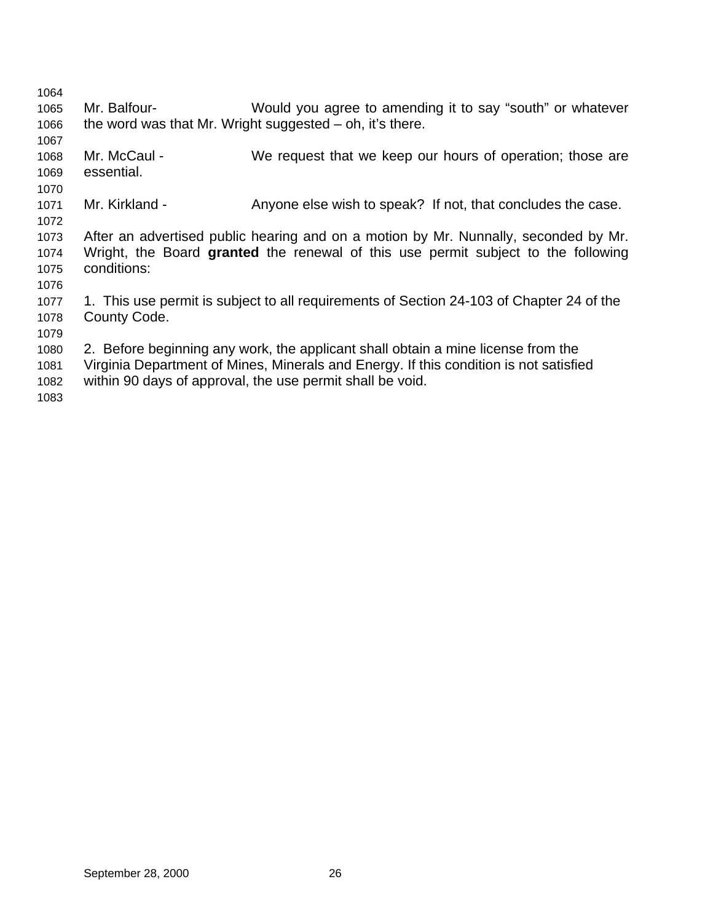| 1064 |                |                                                                                          |
|------|----------------|------------------------------------------------------------------------------------------|
| 1065 | Mr. Balfour-   | Would you agree to amending it to say "south" or whatever                                |
| 1066 |                | the word was that Mr. Wright suggested $-$ oh, it's there.                               |
| 1067 |                |                                                                                          |
| 1068 | Mr. McCaul -   | We request that we keep our hours of operation; those are                                |
| 1069 | essential.     |                                                                                          |
| 1070 |                |                                                                                          |
| 1071 | Mr. Kirkland - | Anyone else wish to speak? If not, that concludes the case.                              |
| 1072 |                |                                                                                          |
| 1073 |                | After an advertised public hearing and on a motion by Mr. Nunnally, seconded by Mr.      |
| 1074 |                | Wright, the Board granted the renewal of this use permit subject to the following        |
| 1075 | conditions:    |                                                                                          |
| 1076 |                |                                                                                          |
| 1077 |                | 1. This use permit is subject to all requirements of Section 24-103 of Chapter 24 of the |
| 1078 | County Code.   |                                                                                          |
| 1079 |                |                                                                                          |
| 1080 |                | 2. Before beginning any work, the applicant shall obtain a mine license from the         |
| 1081 |                | Virginia Department of Mines, Minerals and Energy. If this condition is not satisfied    |
| 1082 |                | within 90 days of approval, the use permit shall be void.                                |
|      |                |                                                                                          |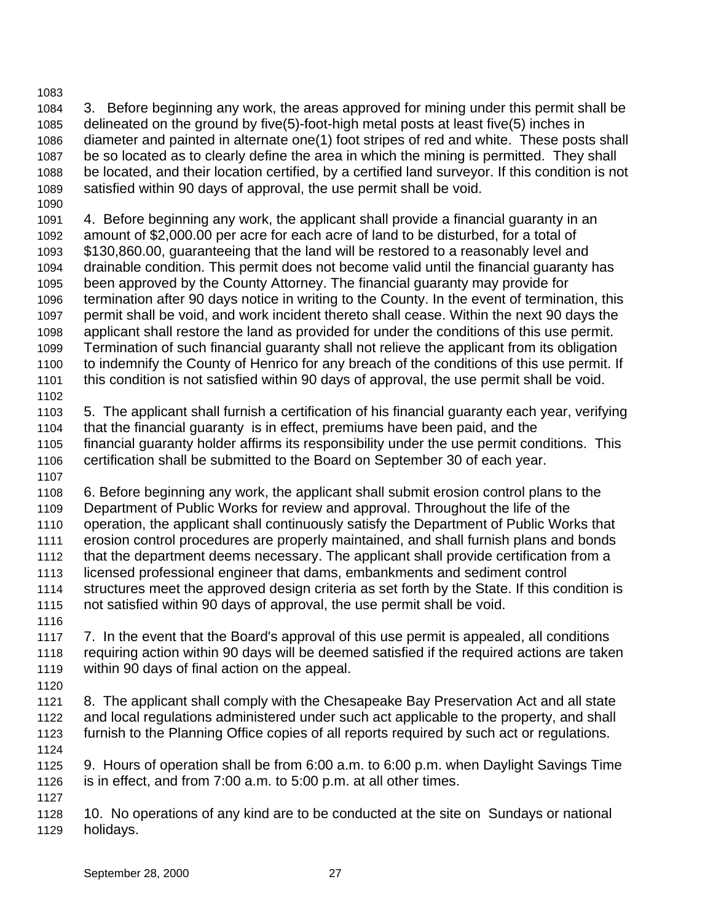## 

 3. Before beginning any work, the areas approved for mining under this permit shall be delineated on the ground by five(5)-foot-high metal posts at least five(5) inches in diameter and painted in alternate one(1) foot stripes of red and white. These posts shall be so located as to clearly define the area in which the mining is permitted. They shall be located, and their location certified, by a certified land surveyor. If this condition is not satisfied within 90 days of approval, the use permit shall be void.

 4. Before beginning any work, the applicant shall provide a financial guaranty in an amount of \$2,000.00 per acre for each acre of land to be disturbed, for a total of \$130,860.00, guaranteeing that the land will be restored to a reasonably level and drainable condition. This permit does not become valid until the financial guaranty has been approved by the County Attorney. The financial guaranty may provide for termination after 90 days notice in writing to the County. In the event of termination, this permit shall be void, and work incident thereto shall cease. Within the next 90 days the applicant shall restore the land as provided for under the conditions of this use permit. Termination of such financial guaranty shall not relieve the applicant from its obligation to indemnify the County of Henrico for any breach of the conditions of this use permit. If this condition is not satisfied within 90 days of approval, the use permit shall be void. 5. The applicant shall furnish a certification of his financial guaranty each year, verifying that the financial guaranty is in effect, premiums have been paid, and the financial guaranty holder affirms its responsibility under the use permit conditions. This certification shall be submitted to the Board on September 30 of each year. 

 6. Before beginning any work, the applicant shall submit erosion control plans to the Department of Public Works for review and approval. Throughout the life of the operation, the applicant shall continuously satisfy the Department of Public Works that erosion control procedures are properly maintained, and shall furnish plans and bonds that the department deems necessary. The applicant shall provide certification from a licensed professional engineer that dams, embankments and sediment control structures meet the approved design criteria as set forth by the State. If this condition is not satisfied within 90 days of approval, the use permit shall be void.

- 7. In the event that the Board's approval of this use permit is appealed, all conditions requiring action within 90 days will be deemed satisfied if the required actions are taken within 90 days of final action on the appeal.
- 8. The applicant shall comply with the Chesapeake Bay Preservation Act and all state and local regulations administered under such act applicable to the property, and shall furnish to the Planning Office copies of all reports required by such act or regulations.
- 9. Hours of operation shall be from 6:00 a.m. to 6:00 p.m. when Daylight Savings Time is in effect, and from 7:00 a.m. to 5:00 p.m. at all other times.
- 

 10. No operations of any kind are to be conducted at the site on Sundays or national holidays.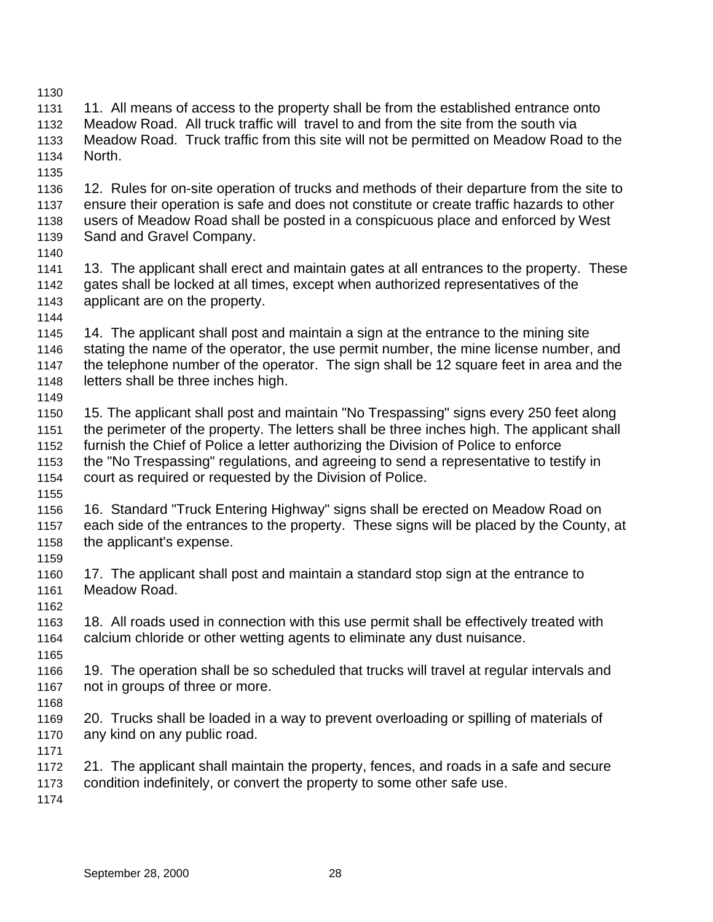11. All means of access to the property shall be from the established entrance onto Meadow Road. All truck traffic will travel to and from the site from the south via Meadow Road. Truck traffic from this site will not be permitted on Meadow Road to the North. 12. Rules for on-site operation of trucks and methods of their departure from the site to ensure their operation is safe and does not constitute or create traffic hazards to other users of Meadow Road shall be posted in a conspicuous place and enforced by West Sand and Gravel Company. 1141 13. The applicant shall erect and maintain gates at all entrances to the property. These gates shall be locked at all times, except when authorized representatives of the applicant are on the property. 14. The applicant shall post and maintain a sign at the entrance to the mining site stating the name of the operator, the use permit number, the mine license number, and the telephone number of the operator. The sign shall be 12 square feet in area and the letters shall be three inches high. 15. The applicant shall post and maintain "No Trespassing" signs every 250 feet along the perimeter of the property. The letters shall be three inches high. The applicant shall furnish the Chief of Police a letter authorizing the Division of Police to enforce the "No Trespassing" regulations, and agreeing to send a representative to testify in court as required or requested by the Division of Police. 16. Standard "Truck Entering Highway" signs shall be erected on Meadow Road on each side of the entrances to the property. These signs will be placed by the County, at the applicant's expense. 17. The applicant shall post and maintain a standard stop sign at the entrance to Meadow Road. 18. All roads used in connection with this use permit shall be effectively treated with calcium chloride or other wetting agents to eliminate any dust nuisance. 19. The operation shall be so scheduled that trucks will travel at regular intervals and not in groups of three or more. 20. Trucks shall be loaded in a way to prevent overloading or spilling of materials of any kind on any public road. 21. The applicant shall maintain the property, fences, and roads in a safe and secure condition indefinitely, or convert the property to some other safe use.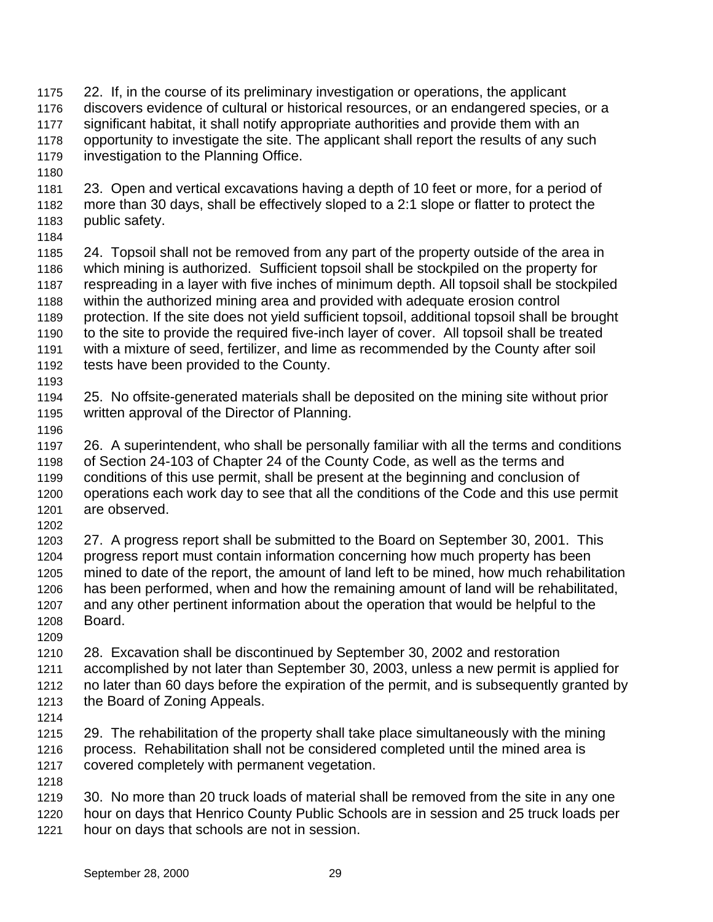- 22. If, in the course of its preliminary investigation or operations, the applicant discovers evidence of cultural or historical resources, or an endangered species, or a significant habitat, it shall notify appropriate authorities and provide them with an opportunity to investigate the site. The applicant shall report the results of any such investigation to the Planning Office. 23. Open and vertical excavations having a depth of 10 feet or more, for a period of more than 30 days, shall be effectively sloped to a 2:1 slope or flatter to protect the public safety.
- 

 24. Topsoil shall not be removed from any part of the property outside of the area in which mining is authorized. Sufficient topsoil shall be stockpiled on the property for respreading in a layer with five inches of minimum depth. All topsoil shall be stockpiled within the authorized mining area and provided with adequate erosion control protection. If the site does not yield sufficient topsoil, additional topsoil shall be brought to the site to provide the required five-inch layer of cover. All topsoil shall be treated with a mixture of seed, fertilizer, and lime as recommended by the County after soil tests have been provided to the County.

 25. No offsite-generated materials shall be deposited on the mining site without prior written approval of the Director of Planning.

 26. A superintendent, who shall be personally familiar with all the terms and conditions of Section 24-103 of Chapter 24 of the County Code, as well as the terms and conditions of this use permit, shall be present at the beginning and conclusion of operations each work day to see that all the conditions of the Code and this use permit are observed. 

 27. A progress report shall be submitted to the Board on September 30, 2001. This progress report must contain information concerning how much property has been mined to date of the report, the amount of land left to be mined, how much rehabilitation has been performed, when and how the remaining amount of land will be rehabilitated, and any other pertinent information about the operation that would be helpful to the Board.

 28. Excavation shall be discontinued by September 30, 2002 and restoration accomplished by not later than September 30, 2003, unless a new permit is applied for no later than 60 days before the expiration of the permit, and is subsequently granted by the Board of Zoning Appeals.

 29. The rehabilitation of the property shall take place simultaneously with the mining process. Rehabilitation shall not be considered completed until the mined area is covered completely with permanent vegetation.

 30. No more than 20 truck loads of material shall be removed from the site in any one hour on days that Henrico County Public Schools are in session and 25 truck loads per hour on days that schools are not in session.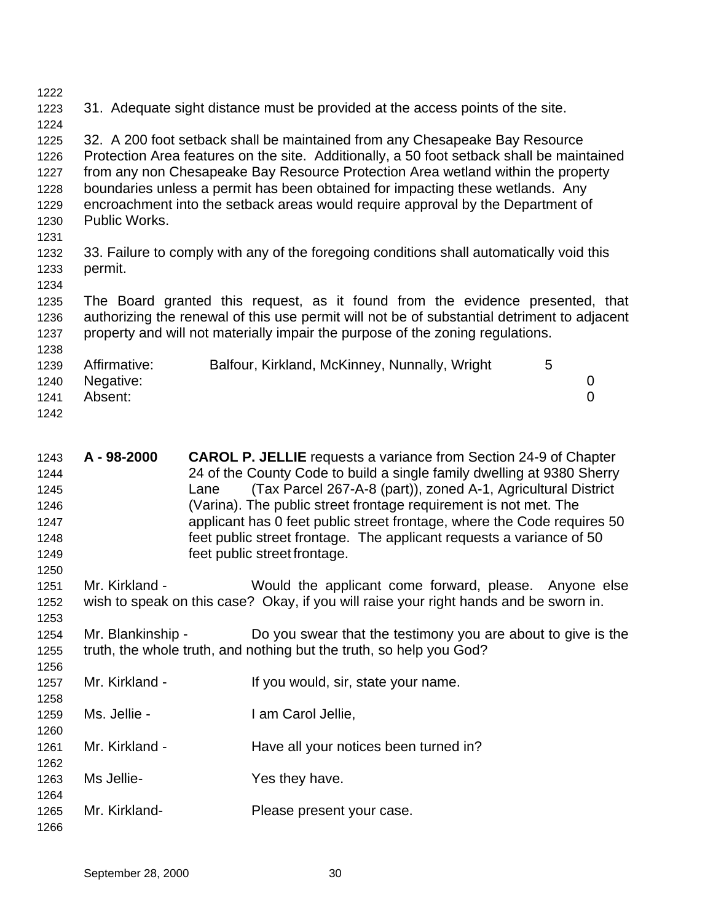- 31. Adequate sight distance must be provided at the access points of the site. 32. A 200 foot setback shall be maintained from any Chesapeake Bay Resource Protection Area features on the site. Additionally, a 50 foot setback shall be maintained from any non Chesapeake Bay Resource Protection Area wetland within the property boundaries unless a permit has been obtained for impacting these wetlands. Any encroachment into the setback areas would require approval by the Department of Public Works. 33. Failure to comply with any of the foregoing conditions shall automatically void this permit. The Board granted this request, as it found from the evidence presented, that authorizing the renewal of this use permit will not be of substantial detriment to adjacent property and will not materially impair the purpose of the zoning regulations. 1239 Affirmative: Balfour, Kirkland, McKinney, Nunnally, Wright 5
- Negative: 0 Absent: 0
- 
- **A 98-2000 CAROL P. JELLIE** requests a variance from Section 24-9 of Chapter 24 of the County Code to build a single family dwelling at 9380 Sherry Lane (Tax Parcel 267-A-8 (part)), zoned A-1, Agricultural District (Varina). The public street frontage requirement is not met. The applicant has 0 feet public street frontage, where the Code requires 50 feet public street frontage. The applicant requests a variance of 50 feet public street frontage. Mr. Kirkland - Would the applicant come forward, please. Anyone else wish to speak on this case? Okay, if you will raise your right hands and be sworn in. Mr. Blankinship - Do you swear that the testimony you are about to give is the truth, the whole truth, and nothing but the truth, so help you God? 1257 Mr. Kirkland - If you would, sir, state your name. Ms. Jellie - I am Carol Jellie, 1261 Mr. Kirkland - Have all your notices been turned in? Ms Jellie- Yes they have. Mr. Kirkland- Please present your case.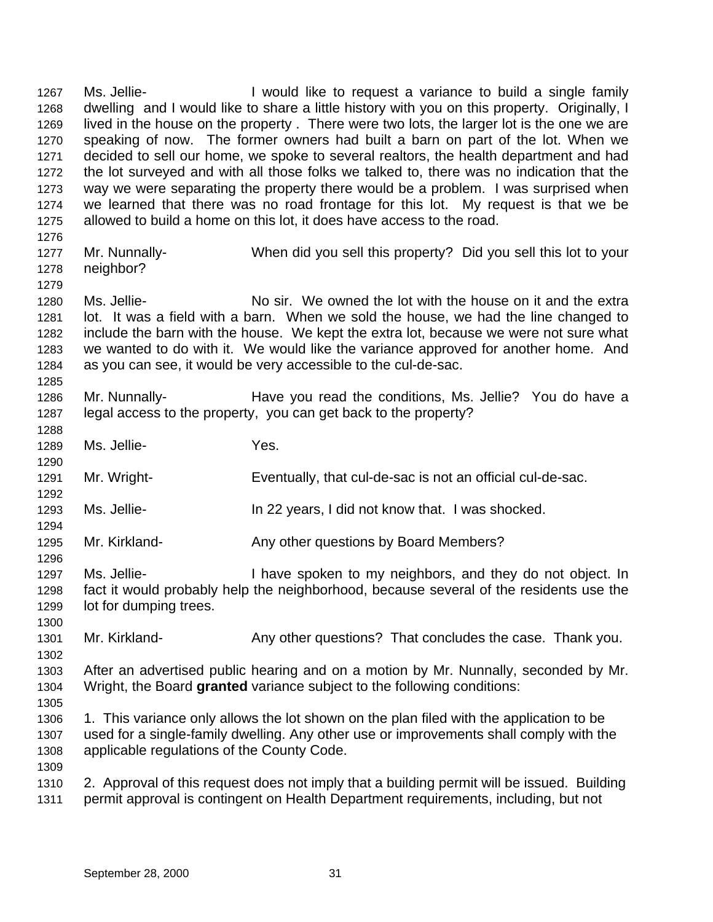1267 Ms. Jellie- I would like to request a variance to build a single family dwelling and I would like to share a little history with you on this property. Originally, I lived in the house on the property . There were two lots, the larger lot is the one we are speaking of now. The former owners had built a barn on part of the lot. When we decided to sell our home, we spoke to several realtors, the health department and had the lot surveyed and with all those folks we talked to, there was no indication that the way we were separating the property there would be a problem. I was surprised when we learned that there was no road frontage for this lot. My request is that we be allowed to build a home on this lot, it does have access to the road. 

- Mr. Nunnally- When did you sell this property? Did you sell this lot to your neighbor?
- Ms. Jellie- No sir. We owned the lot with the house on it and the extra lot. It was a field with a barn. When we sold the house, we had the line changed to include the barn with the house. We kept the extra lot, because we were not sure what we wanted to do with it. We would like the variance approved for another home. And as you can see, it would be very accessible to the cul-de-sac.
- Mr. Nunnally- Have you read the conditions, Ms. Jellie? You do have a legal access to the property, you can get back to the property?
- Ms. Jellie- Yes.
- Mr. Wright- Eventually, that cul-de-sac is not an official cul-de-sac.
- Ms. Jellie- In 22 years, I did not know that. I was shocked.
- 1295 Mr. Kirkland- **Any other questions by Board Members?**
- 1297 Ms. Jellie- I have spoken to my neighbors, and they do not object. In fact it would probably help the neighborhood, because several of the residents use the lot for dumping trees.
- 1301 Mr. Kirkland- Any other questions? That concludes the case. Thank you.
- After an advertised public hearing and on a motion by Mr. Nunnally, seconded by Mr. Wright, the Board **granted** variance subject to the following conditions:
- 

 1. This variance only allows the lot shown on the plan filed with the application to be used for a single-family dwelling. Any other use or improvements shall comply with the applicable regulations of the County Code.

 2. Approval of this request does not imply that a building permit will be issued. Building permit approval is contingent on Health Department requirements, including, but not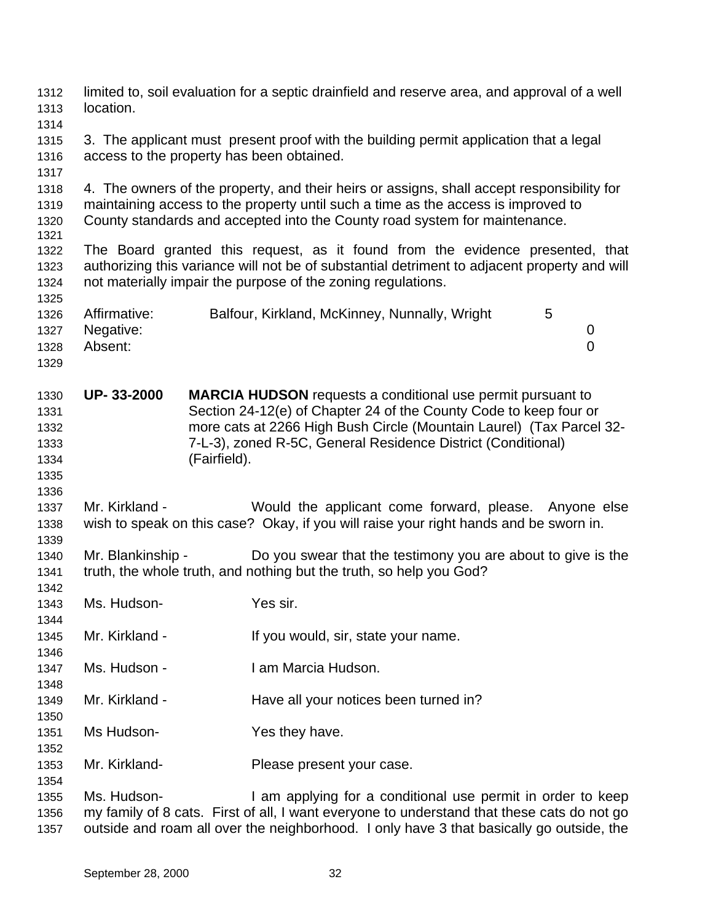| 1312<br>1313                                 | location.                                                                                                                          |              | limited to, soil evaluation for a septic drainfield and reserve area, and approval of a well                                                                                                                                                                                    |                          |  |
|----------------------------------------------|------------------------------------------------------------------------------------------------------------------------------------|--------------|---------------------------------------------------------------------------------------------------------------------------------------------------------------------------------------------------------------------------------------------------------------------------------|--------------------------|--|
| 1314<br>1315<br>1316                         | 3. The applicant must present proof with the building permit application that a legal<br>access to the property has been obtained. |              |                                                                                                                                                                                                                                                                                 |                          |  |
| 1317<br>1318<br>1319<br>1320<br>1321         |                                                                                                                                    |              | 4. The owners of the property, and their heirs or assigns, shall accept responsibility for<br>maintaining access to the property until such a time as the access is improved to<br>County standards and accepted into the County road system for maintenance.                   |                          |  |
| 1322<br>1323<br>1324<br>1325                 |                                                                                                                                    |              | The Board granted this request, as it found from the evidence presented, that<br>authorizing this variance will not be of substantial detriment to adjacent property and will<br>not materially impair the purpose of the zoning regulations.                                   |                          |  |
| 1326<br>1327<br>1328<br>1329                 | Affirmative:<br>Negative:<br>Absent:                                                                                               |              | Balfour, Kirkland, McKinney, Nunnally, Wright                                                                                                                                                                                                                                   | 5<br>0<br>$\overline{0}$ |  |
| 1330<br>1331<br>1332<br>1333<br>1334<br>1335 | UP-33-2000                                                                                                                         | (Fairfield). | <b>MARCIA HUDSON</b> requests a conditional use permit pursuant to<br>Section 24-12(e) of Chapter 24 of the County Code to keep four or<br>more cats at 2266 High Bush Circle (Mountain Laurel) (Tax Parcel 32-<br>7-L-3), zoned R-5C, General Residence District (Conditional) |                          |  |
| 1336<br>1337<br>1338<br>1339                 | Mr. Kirkland -                                                                                                                     |              | Would the applicant come forward, please. Anyone else<br>wish to speak on this case? Okay, if you will raise your right hands and be sworn in.                                                                                                                                  |                          |  |
| 1340<br>1341<br>1342                         | Mr. Blankinship -                                                                                                                  |              | Do you swear that the testimony you are about to give is the<br>truth, the whole truth, and nothing but the truth, so help you God?                                                                                                                                             |                          |  |
| 1343<br>1344                                 | Ms. Hudson-                                                                                                                        |              | Yes sir.                                                                                                                                                                                                                                                                        |                          |  |
| 1345<br>1346                                 | Mr. Kirkland -                                                                                                                     |              | If you would, sir, state your name.                                                                                                                                                                                                                                             |                          |  |
| 1347<br>1348                                 | Ms. Hudson -                                                                                                                       |              | I am Marcia Hudson.                                                                                                                                                                                                                                                             |                          |  |
| 1349<br>1350                                 | Mr. Kirkland -                                                                                                                     |              | Have all your notices been turned in?                                                                                                                                                                                                                                           |                          |  |
| 1351<br>1352                                 | Ms Hudson-                                                                                                                         |              | Yes they have.                                                                                                                                                                                                                                                                  |                          |  |
| 1353<br>1354                                 | Mr. Kirkland-                                                                                                                      |              | Please present your case.                                                                                                                                                                                                                                                       |                          |  |
| 1355<br>1356<br>1357                         | Ms. Hudson-                                                                                                                        |              | I am applying for a conditional use permit in order to keep<br>my family of 8 cats. First of all, I want everyone to understand that these cats do not go<br>outside and roam all over the neighborhood. I only have 3 that basically go outside, the                           |                          |  |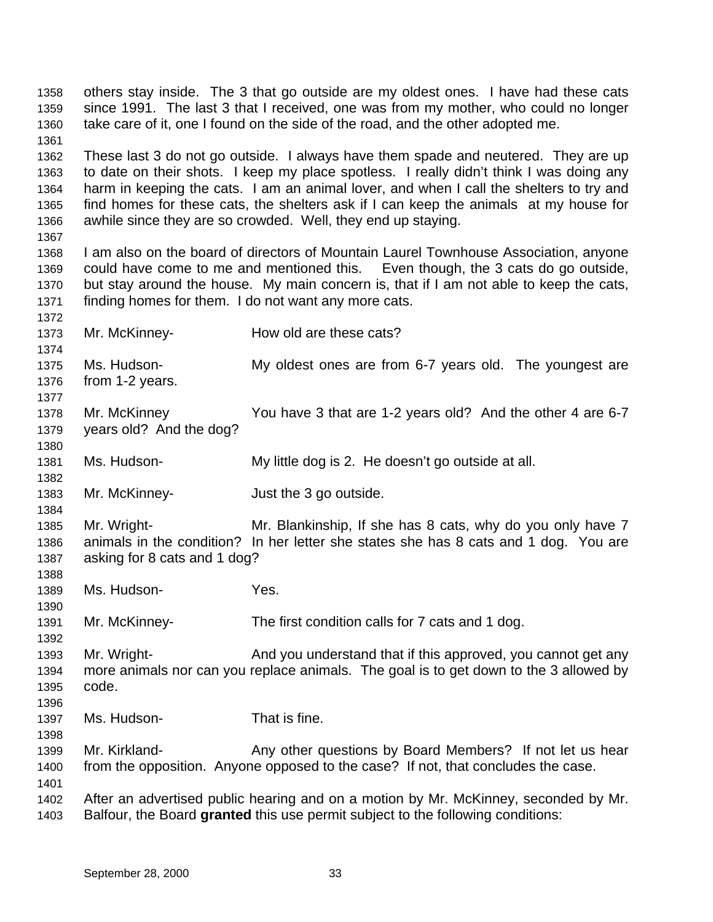others stay inside. The 3 that go outside are my oldest ones. I have had these cats since 1991. The last 3 that I received, one was from my mother, who could no longer take care of it, one I found on the side of the road, and the other adopted me. These last 3 do not go outside. I always have them spade and neutered. They are up to date on their shots. I keep my place spotless. I really didn't think I was doing any harm in keeping the cats. I am an animal lover, and when I call the shelters to try and find homes for these cats, the shelters ask if I can keep the animals at my house for awhile since they are so crowded. Well, they end up staying. I am also on the board of directors of Mountain Laurel Townhouse Association, anyone could have come to me and mentioned this. Even though, the 3 cats do go outside, but stay around the house. My main concern is, that if I am not able to keep the cats, finding homes for them. I do not want any more cats. Mr. McKinney- How old are these cats? Ms. Hudson- My oldest ones are from 6-7 years old. The youngest are from 1-2 years. Mr. McKinney You have 3 that are 1-2 years old? And the other 4 are 6-7 years old? And the dog? Ms. Hudson- My little dog is 2. He doesn't go outside at all. Mr. McKinney- Just the 3 go outside. Mr. Wright- Mr. Blankinship, If she has 8 cats, why do you only have 7 animals in the condition? In her letter she states she has 8 cats and 1 dog. You are asking for 8 cats and 1 dog? Ms. Hudson- Yes. Mr. McKinney- The first condition calls for 7 cats and 1 dog. Mr. Wright- And you understand that if this approved, you cannot get any more animals nor can you replace animals. The goal is to get down to the 3 allowed by code. Ms. Hudson- That is fine. 1399 Mr. Kirkland- Any other questions by Board Members? If not let us hear from the opposition. Anyone opposed to the case? If not, that concludes the case. After an advertised public hearing and on a motion by Mr. McKinney, seconded by Mr. Balfour, the Board **granted** this use permit subject to the following conditions: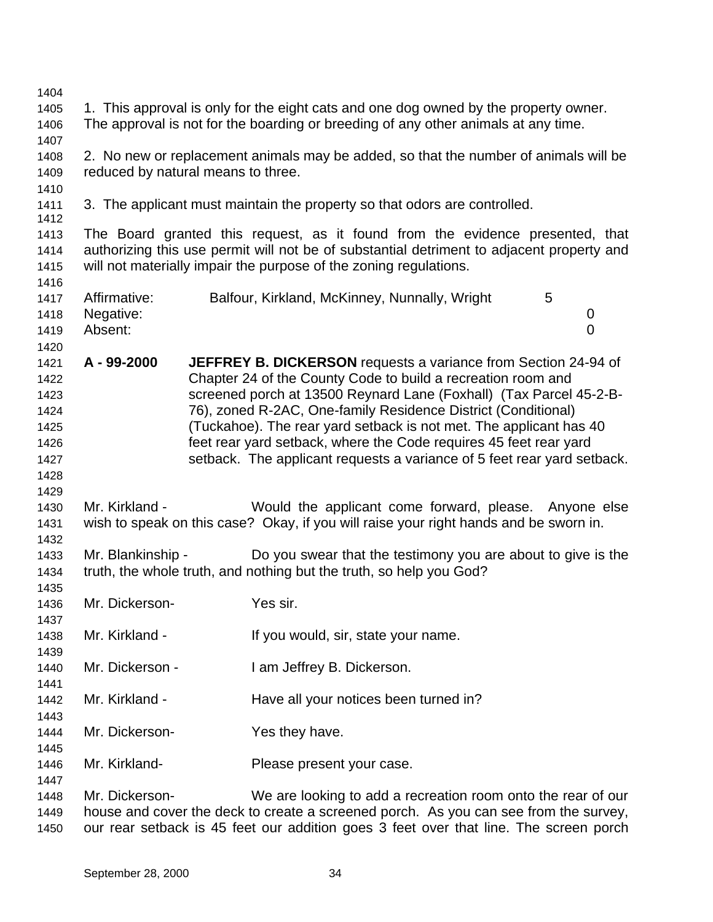| 1. This approval is only for the eight cats and one dog owned by the property owner.<br>1405<br>The approval is not for the boarding or breeding of any other animals at any time.<br>1406<br>1407<br>2. No new or replacement animals may be added, so that the number of animals will be<br>1408<br>reduced by natural means to three.<br>1409<br>1410<br>3. The applicant must maintain the property so that odors are controlled.<br>1411<br>1412<br>The Board granted this request, as it found from the evidence presented, that<br>1413<br>authorizing this use permit will not be of substantial detriment to adjacent property and<br>1414<br>will not materially impair the purpose of the zoning regulations.<br>1415<br>1416<br>Affirmative:<br>5<br>Balfour, Kirkland, McKinney, Nunnally, Wright<br>1417<br>Negative:<br>1418<br>0<br>$\overline{0}$<br>Absent:<br>1419<br>1420<br>A-99-2000<br>JEFFREY B. DICKERSON requests a variance from Section 24-94 of<br>1421<br>Chapter 24 of the County Code to build a recreation room and<br>1422<br>screened porch at 13500 Reynard Lane (Foxhall) (Tax Parcel 45-2-B-<br>1423<br>76), zoned R-2AC, One-family Residence District (Conditional)<br>1424<br>(Tuckahoe). The rear yard setback is not met. The applicant has 40<br>1425<br>feet rear yard setback, where the Code requires 45 feet rear yard<br>1426<br>setback. The applicant requests a variance of 5 feet rear yard setback.<br>1427<br>1428<br>1429<br>Mr. Kirkland -<br>Would the applicant come forward, please. Anyone else<br>1430<br>wish to speak on this case? Okay, if you will raise your right hands and be sworn in.<br>1431<br>1432<br>Mr. Blankinship -<br>Do you swear that the testimony you are about to give is the<br>1433<br>truth, the whole truth, and nothing but the truth, so help you God?<br>1434<br>1435<br>Mr. Dickerson-<br>Yes sir.<br>1436<br>1437<br>Mr. Kirkland -<br>If you would, sir, state your name.<br>1438<br>1439<br>Mr. Dickerson -<br>I am Jeffrey B. Dickerson.<br>1440<br>1441<br>Mr. Kirkland -<br>Have all your notices been turned in?<br>1442<br>1443<br>Mr. Dickerson-<br>Yes they have.<br>1444<br>1445<br>Mr. Kirkland-<br>Please present your case.<br>1446<br>1447<br>Mr. Dickerson-<br>We are looking to add a recreation room onto the rear of our<br>1448<br>house and cover the deck to create a screened porch. As you can see from the survey,<br>1449<br>our rear setback is 45 feet our addition goes 3 feet over that line. The screen porch<br>1450 | 1404 |  |  |  |
|---------------------------------------------------------------------------------------------------------------------------------------------------------------------------------------------------------------------------------------------------------------------------------------------------------------------------------------------------------------------------------------------------------------------------------------------------------------------------------------------------------------------------------------------------------------------------------------------------------------------------------------------------------------------------------------------------------------------------------------------------------------------------------------------------------------------------------------------------------------------------------------------------------------------------------------------------------------------------------------------------------------------------------------------------------------------------------------------------------------------------------------------------------------------------------------------------------------------------------------------------------------------------------------------------------------------------------------------------------------------------------------------------------------------------------------------------------------------------------------------------------------------------------------------------------------------------------------------------------------------------------------------------------------------------------------------------------------------------------------------------------------------------------------------------------------------------------------------------------------------------------------------------------------------------------------------------------------------------------------------------------------------------------------------------------------------------------------------------------------------------------------------------------------------------------------------------------------------------------------------------------------------------------------------------------------------------------------------------------------------------------------------------------------------------------------------------------------------------------------------------------------------------------------------------|------|--|--|--|
|                                                                                                                                                                                                                                                                                                                                                                                                                                                                                                                                                                                                                                                                                                                                                                                                                                                                                                                                                                                                                                                                                                                                                                                                                                                                                                                                                                                                                                                                                                                                                                                                                                                                                                                                                                                                                                                                                                                                                                                                                                                                                                                                                                                                                                                                                                                                                                                                                                                                                                                                                   |      |  |  |  |
|                                                                                                                                                                                                                                                                                                                                                                                                                                                                                                                                                                                                                                                                                                                                                                                                                                                                                                                                                                                                                                                                                                                                                                                                                                                                                                                                                                                                                                                                                                                                                                                                                                                                                                                                                                                                                                                                                                                                                                                                                                                                                                                                                                                                                                                                                                                                                                                                                                                                                                                                                   |      |  |  |  |
|                                                                                                                                                                                                                                                                                                                                                                                                                                                                                                                                                                                                                                                                                                                                                                                                                                                                                                                                                                                                                                                                                                                                                                                                                                                                                                                                                                                                                                                                                                                                                                                                                                                                                                                                                                                                                                                                                                                                                                                                                                                                                                                                                                                                                                                                                                                                                                                                                                                                                                                                                   |      |  |  |  |
|                                                                                                                                                                                                                                                                                                                                                                                                                                                                                                                                                                                                                                                                                                                                                                                                                                                                                                                                                                                                                                                                                                                                                                                                                                                                                                                                                                                                                                                                                                                                                                                                                                                                                                                                                                                                                                                                                                                                                                                                                                                                                                                                                                                                                                                                                                                                                                                                                                                                                                                                                   |      |  |  |  |
|                                                                                                                                                                                                                                                                                                                                                                                                                                                                                                                                                                                                                                                                                                                                                                                                                                                                                                                                                                                                                                                                                                                                                                                                                                                                                                                                                                                                                                                                                                                                                                                                                                                                                                                                                                                                                                                                                                                                                                                                                                                                                                                                                                                                                                                                                                                                                                                                                                                                                                                                                   |      |  |  |  |
|                                                                                                                                                                                                                                                                                                                                                                                                                                                                                                                                                                                                                                                                                                                                                                                                                                                                                                                                                                                                                                                                                                                                                                                                                                                                                                                                                                                                                                                                                                                                                                                                                                                                                                                                                                                                                                                                                                                                                                                                                                                                                                                                                                                                                                                                                                                                                                                                                                                                                                                                                   |      |  |  |  |
|                                                                                                                                                                                                                                                                                                                                                                                                                                                                                                                                                                                                                                                                                                                                                                                                                                                                                                                                                                                                                                                                                                                                                                                                                                                                                                                                                                                                                                                                                                                                                                                                                                                                                                                                                                                                                                                                                                                                                                                                                                                                                                                                                                                                                                                                                                                                                                                                                                                                                                                                                   |      |  |  |  |
|                                                                                                                                                                                                                                                                                                                                                                                                                                                                                                                                                                                                                                                                                                                                                                                                                                                                                                                                                                                                                                                                                                                                                                                                                                                                                                                                                                                                                                                                                                                                                                                                                                                                                                                                                                                                                                                                                                                                                                                                                                                                                                                                                                                                                                                                                                                                                                                                                                                                                                                                                   |      |  |  |  |
|                                                                                                                                                                                                                                                                                                                                                                                                                                                                                                                                                                                                                                                                                                                                                                                                                                                                                                                                                                                                                                                                                                                                                                                                                                                                                                                                                                                                                                                                                                                                                                                                                                                                                                                                                                                                                                                                                                                                                                                                                                                                                                                                                                                                                                                                                                                                                                                                                                                                                                                                                   |      |  |  |  |
|                                                                                                                                                                                                                                                                                                                                                                                                                                                                                                                                                                                                                                                                                                                                                                                                                                                                                                                                                                                                                                                                                                                                                                                                                                                                                                                                                                                                                                                                                                                                                                                                                                                                                                                                                                                                                                                                                                                                                                                                                                                                                                                                                                                                                                                                                                                                                                                                                                                                                                                                                   |      |  |  |  |
|                                                                                                                                                                                                                                                                                                                                                                                                                                                                                                                                                                                                                                                                                                                                                                                                                                                                                                                                                                                                                                                                                                                                                                                                                                                                                                                                                                                                                                                                                                                                                                                                                                                                                                                                                                                                                                                                                                                                                                                                                                                                                                                                                                                                                                                                                                                                                                                                                                                                                                                                                   |      |  |  |  |
|                                                                                                                                                                                                                                                                                                                                                                                                                                                                                                                                                                                                                                                                                                                                                                                                                                                                                                                                                                                                                                                                                                                                                                                                                                                                                                                                                                                                                                                                                                                                                                                                                                                                                                                                                                                                                                                                                                                                                                                                                                                                                                                                                                                                                                                                                                                                                                                                                                                                                                                                                   |      |  |  |  |
|                                                                                                                                                                                                                                                                                                                                                                                                                                                                                                                                                                                                                                                                                                                                                                                                                                                                                                                                                                                                                                                                                                                                                                                                                                                                                                                                                                                                                                                                                                                                                                                                                                                                                                                                                                                                                                                                                                                                                                                                                                                                                                                                                                                                                                                                                                                                                                                                                                                                                                                                                   |      |  |  |  |
|                                                                                                                                                                                                                                                                                                                                                                                                                                                                                                                                                                                                                                                                                                                                                                                                                                                                                                                                                                                                                                                                                                                                                                                                                                                                                                                                                                                                                                                                                                                                                                                                                                                                                                                                                                                                                                                                                                                                                                                                                                                                                                                                                                                                                                                                                                                                                                                                                                                                                                                                                   |      |  |  |  |
|                                                                                                                                                                                                                                                                                                                                                                                                                                                                                                                                                                                                                                                                                                                                                                                                                                                                                                                                                                                                                                                                                                                                                                                                                                                                                                                                                                                                                                                                                                                                                                                                                                                                                                                                                                                                                                                                                                                                                                                                                                                                                                                                                                                                                                                                                                                                                                                                                                                                                                                                                   |      |  |  |  |
|                                                                                                                                                                                                                                                                                                                                                                                                                                                                                                                                                                                                                                                                                                                                                                                                                                                                                                                                                                                                                                                                                                                                                                                                                                                                                                                                                                                                                                                                                                                                                                                                                                                                                                                                                                                                                                                                                                                                                                                                                                                                                                                                                                                                                                                                                                                                                                                                                                                                                                                                                   |      |  |  |  |
|                                                                                                                                                                                                                                                                                                                                                                                                                                                                                                                                                                                                                                                                                                                                                                                                                                                                                                                                                                                                                                                                                                                                                                                                                                                                                                                                                                                                                                                                                                                                                                                                                                                                                                                                                                                                                                                                                                                                                                                                                                                                                                                                                                                                                                                                                                                                                                                                                                                                                                                                                   |      |  |  |  |
|                                                                                                                                                                                                                                                                                                                                                                                                                                                                                                                                                                                                                                                                                                                                                                                                                                                                                                                                                                                                                                                                                                                                                                                                                                                                                                                                                                                                                                                                                                                                                                                                                                                                                                                                                                                                                                                                                                                                                                                                                                                                                                                                                                                                                                                                                                                                                                                                                                                                                                                                                   |      |  |  |  |
|                                                                                                                                                                                                                                                                                                                                                                                                                                                                                                                                                                                                                                                                                                                                                                                                                                                                                                                                                                                                                                                                                                                                                                                                                                                                                                                                                                                                                                                                                                                                                                                                                                                                                                                                                                                                                                                                                                                                                                                                                                                                                                                                                                                                                                                                                                                                                                                                                                                                                                                                                   |      |  |  |  |
|                                                                                                                                                                                                                                                                                                                                                                                                                                                                                                                                                                                                                                                                                                                                                                                                                                                                                                                                                                                                                                                                                                                                                                                                                                                                                                                                                                                                                                                                                                                                                                                                                                                                                                                                                                                                                                                                                                                                                                                                                                                                                                                                                                                                                                                                                                                                                                                                                                                                                                                                                   |      |  |  |  |
|                                                                                                                                                                                                                                                                                                                                                                                                                                                                                                                                                                                                                                                                                                                                                                                                                                                                                                                                                                                                                                                                                                                                                                                                                                                                                                                                                                                                                                                                                                                                                                                                                                                                                                                                                                                                                                                                                                                                                                                                                                                                                                                                                                                                                                                                                                                                                                                                                                                                                                                                                   |      |  |  |  |
|                                                                                                                                                                                                                                                                                                                                                                                                                                                                                                                                                                                                                                                                                                                                                                                                                                                                                                                                                                                                                                                                                                                                                                                                                                                                                                                                                                                                                                                                                                                                                                                                                                                                                                                                                                                                                                                                                                                                                                                                                                                                                                                                                                                                                                                                                                                                                                                                                                                                                                                                                   |      |  |  |  |
|                                                                                                                                                                                                                                                                                                                                                                                                                                                                                                                                                                                                                                                                                                                                                                                                                                                                                                                                                                                                                                                                                                                                                                                                                                                                                                                                                                                                                                                                                                                                                                                                                                                                                                                                                                                                                                                                                                                                                                                                                                                                                                                                                                                                                                                                                                                                                                                                                                                                                                                                                   |      |  |  |  |
|                                                                                                                                                                                                                                                                                                                                                                                                                                                                                                                                                                                                                                                                                                                                                                                                                                                                                                                                                                                                                                                                                                                                                                                                                                                                                                                                                                                                                                                                                                                                                                                                                                                                                                                                                                                                                                                                                                                                                                                                                                                                                                                                                                                                                                                                                                                                                                                                                                                                                                                                                   |      |  |  |  |
|                                                                                                                                                                                                                                                                                                                                                                                                                                                                                                                                                                                                                                                                                                                                                                                                                                                                                                                                                                                                                                                                                                                                                                                                                                                                                                                                                                                                                                                                                                                                                                                                                                                                                                                                                                                                                                                                                                                                                                                                                                                                                                                                                                                                                                                                                                                                                                                                                                                                                                                                                   |      |  |  |  |
|                                                                                                                                                                                                                                                                                                                                                                                                                                                                                                                                                                                                                                                                                                                                                                                                                                                                                                                                                                                                                                                                                                                                                                                                                                                                                                                                                                                                                                                                                                                                                                                                                                                                                                                                                                                                                                                                                                                                                                                                                                                                                                                                                                                                                                                                                                                                                                                                                                                                                                                                                   |      |  |  |  |
|                                                                                                                                                                                                                                                                                                                                                                                                                                                                                                                                                                                                                                                                                                                                                                                                                                                                                                                                                                                                                                                                                                                                                                                                                                                                                                                                                                                                                                                                                                                                                                                                                                                                                                                                                                                                                                                                                                                                                                                                                                                                                                                                                                                                                                                                                                                                                                                                                                                                                                                                                   |      |  |  |  |
|                                                                                                                                                                                                                                                                                                                                                                                                                                                                                                                                                                                                                                                                                                                                                                                                                                                                                                                                                                                                                                                                                                                                                                                                                                                                                                                                                                                                                                                                                                                                                                                                                                                                                                                                                                                                                                                                                                                                                                                                                                                                                                                                                                                                                                                                                                                                                                                                                                                                                                                                                   |      |  |  |  |
|                                                                                                                                                                                                                                                                                                                                                                                                                                                                                                                                                                                                                                                                                                                                                                                                                                                                                                                                                                                                                                                                                                                                                                                                                                                                                                                                                                                                                                                                                                                                                                                                                                                                                                                                                                                                                                                                                                                                                                                                                                                                                                                                                                                                                                                                                                                                                                                                                                                                                                                                                   |      |  |  |  |
|                                                                                                                                                                                                                                                                                                                                                                                                                                                                                                                                                                                                                                                                                                                                                                                                                                                                                                                                                                                                                                                                                                                                                                                                                                                                                                                                                                                                                                                                                                                                                                                                                                                                                                                                                                                                                                                                                                                                                                                                                                                                                                                                                                                                                                                                                                                                                                                                                                                                                                                                                   |      |  |  |  |
|                                                                                                                                                                                                                                                                                                                                                                                                                                                                                                                                                                                                                                                                                                                                                                                                                                                                                                                                                                                                                                                                                                                                                                                                                                                                                                                                                                                                                                                                                                                                                                                                                                                                                                                                                                                                                                                                                                                                                                                                                                                                                                                                                                                                                                                                                                                                                                                                                                                                                                                                                   |      |  |  |  |
|                                                                                                                                                                                                                                                                                                                                                                                                                                                                                                                                                                                                                                                                                                                                                                                                                                                                                                                                                                                                                                                                                                                                                                                                                                                                                                                                                                                                                                                                                                                                                                                                                                                                                                                                                                                                                                                                                                                                                                                                                                                                                                                                                                                                                                                                                                                                                                                                                                                                                                                                                   |      |  |  |  |
|                                                                                                                                                                                                                                                                                                                                                                                                                                                                                                                                                                                                                                                                                                                                                                                                                                                                                                                                                                                                                                                                                                                                                                                                                                                                                                                                                                                                                                                                                                                                                                                                                                                                                                                                                                                                                                                                                                                                                                                                                                                                                                                                                                                                                                                                                                                                                                                                                                                                                                                                                   |      |  |  |  |
|                                                                                                                                                                                                                                                                                                                                                                                                                                                                                                                                                                                                                                                                                                                                                                                                                                                                                                                                                                                                                                                                                                                                                                                                                                                                                                                                                                                                                                                                                                                                                                                                                                                                                                                                                                                                                                                                                                                                                                                                                                                                                                                                                                                                                                                                                                                                                                                                                                                                                                                                                   |      |  |  |  |
|                                                                                                                                                                                                                                                                                                                                                                                                                                                                                                                                                                                                                                                                                                                                                                                                                                                                                                                                                                                                                                                                                                                                                                                                                                                                                                                                                                                                                                                                                                                                                                                                                                                                                                                                                                                                                                                                                                                                                                                                                                                                                                                                                                                                                                                                                                                                                                                                                                                                                                                                                   |      |  |  |  |
|                                                                                                                                                                                                                                                                                                                                                                                                                                                                                                                                                                                                                                                                                                                                                                                                                                                                                                                                                                                                                                                                                                                                                                                                                                                                                                                                                                                                                                                                                                                                                                                                                                                                                                                                                                                                                                                                                                                                                                                                                                                                                                                                                                                                                                                                                                                                                                                                                                                                                                                                                   |      |  |  |  |
|                                                                                                                                                                                                                                                                                                                                                                                                                                                                                                                                                                                                                                                                                                                                                                                                                                                                                                                                                                                                                                                                                                                                                                                                                                                                                                                                                                                                                                                                                                                                                                                                                                                                                                                                                                                                                                                                                                                                                                                                                                                                                                                                                                                                                                                                                                                                                                                                                                                                                                                                                   |      |  |  |  |
|                                                                                                                                                                                                                                                                                                                                                                                                                                                                                                                                                                                                                                                                                                                                                                                                                                                                                                                                                                                                                                                                                                                                                                                                                                                                                                                                                                                                                                                                                                                                                                                                                                                                                                                                                                                                                                                                                                                                                                                                                                                                                                                                                                                                                                                                                                                                                                                                                                                                                                                                                   |      |  |  |  |
|                                                                                                                                                                                                                                                                                                                                                                                                                                                                                                                                                                                                                                                                                                                                                                                                                                                                                                                                                                                                                                                                                                                                                                                                                                                                                                                                                                                                                                                                                                                                                                                                                                                                                                                                                                                                                                                                                                                                                                                                                                                                                                                                                                                                                                                                                                                                                                                                                                                                                                                                                   |      |  |  |  |
|                                                                                                                                                                                                                                                                                                                                                                                                                                                                                                                                                                                                                                                                                                                                                                                                                                                                                                                                                                                                                                                                                                                                                                                                                                                                                                                                                                                                                                                                                                                                                                                                                                                                                                                                                                                                                                                                                                                                                                                                                                                                                                                                                                                                                                                                                                                                                                                                                                                                                                                                                   |      |  |  |  |
|                                                                                                                                                                                                                                                                                                                                                                                                                                                                                                                                                                                                                                                                                                                                                                                                                                                                                                                                                                                                                                                                                                                                                                                                                                                                                                                                                                                                                                                                                                                                                                                                                                                                                                                                                                                                                                                                                                                                                                                                                                                                                                                                                                                                                                                                                                                                                                                                                                                                                                                                                   |      |  |  |  |
|                                                                                                                                                                                                                                                                                                                                                                                                                                                                                                                                                                                                                                                                                                                                                                                                                                                                                                                                                                                                                                                                                                                                                                                                                                                                                                                                                                                                                                                                                                                                                                                                                                                                                                                                                                                                                                                                                                                                                                                                                                                                                                                                                                                                                                                                                                                                                                                                                                                                                                                                                   |      |  |  |  |
|                                                                                                                                                                                                                                                                                                                                                                                                                                                                                                                                                                                                                                                                                                                                                                                                                                                                                                                                                                                                                                                                                                                                                                                                                                                                                                                                                                                                                                                                                                                                                                                                                                                                                                                                                                                                                                                                                                                                                                                                                                                                                                                                                                                                                                                                                                                                                                                                                                                                                                                                                   |      |  |  |  |
|                                                                                                                                                                                                                                                                                                                                                                                                                                                                                                                                                                                                                                                                                                                                                                                                                                                                                                                                                                                                                                                                                                                                                                                                                                                                                                                                                                                                                                                                                                                                                                                                                                                                                                                                                                                                                                                                                                                                                                                                                                                                                                                                                                                                                                                                                                                                                                                                                                                                                                                                                   |      |  |  |  |
|                                                                                                                                                                                                                                                                                                                                                                                                                                                                                                                                                                                                                                                                                                                                                                                                                                                                                                                                                                                                                                                                                                                                                                                                                                                                                                                                                                                                                                                                                                                                                                                                                                                                                                                                                                                                                                                                                                                                                                                                                                                                                                                                                                                                                                                                                                                                                                                                                                                                                                                                                   |      |  |  |  |
|                                                                                                                                                                                                                                                                                                                                                                                                                                                                                                                                                                                                                                                                                                                                                                                                                                                                                                                                                                                                                                                                                                                                                                                                                                                                                                                                                                                                                                                                                                                                                                                                                                                                                                                                                                                                                                                                                                                                                                                                                                                                                                                                                                                                                                                                                                                                                                                                                                                                                                                                                   |      |  |  |  |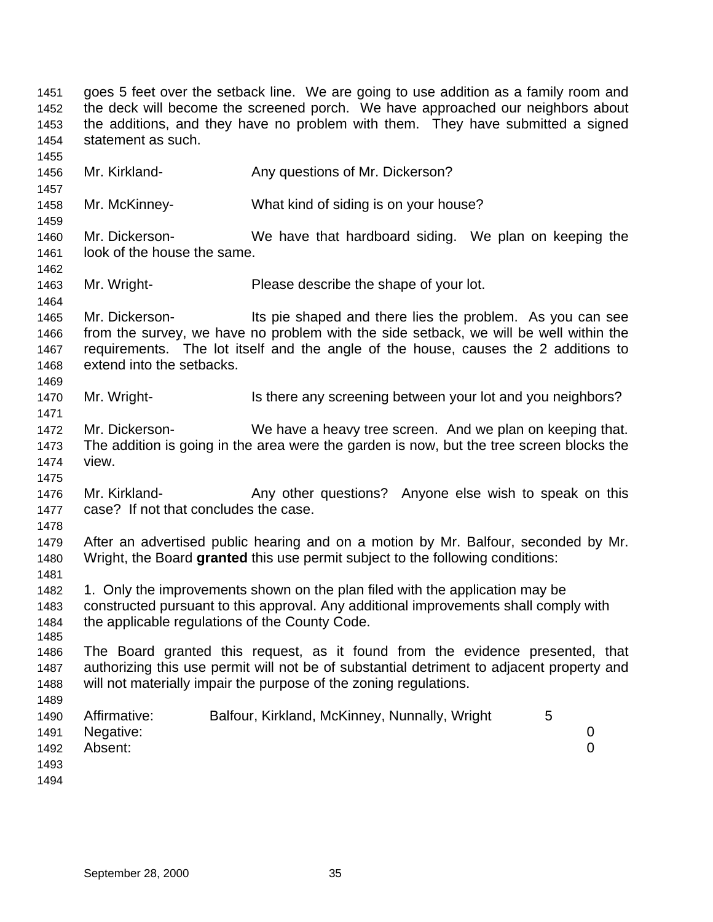the additions, and they have no problem with them. They have submitted a signed statement as such. 1456 Mr. Kirkland- **Any questions of Mr. Dickerson?**  Mr. McKinney- What kind of siding is on your house? Mr. Dickerson- We have that hardboard siding. We plan on keeping the look of the house the same. Mr. Wright- Please describe the shape of your lot. Mr. Dickerson- Its pie shaped and there lies the problem. As you can see from the survey, we have no problem with the side setback, we will be well within the requirements. The lot itself and the angle of the house, causes the 2 additions to extend into the setbacks. 1470 Mr. Wright- Is there any screening between your lot and you neighbors? Mr. Dickerson- We have a heavy tree screen. And we plan on keeping that. The addition is going in the area were the garden is now, but the tree screen blocks the view. 1476 Mr. Kirkland- **Any other questions?** Anyone else wish to speak on this case? If not that concludes the case. After an advertised public hearing and on a motion by Mr. Balfour, seconded by Mr. Wright, the Board **granted** this use permit subject to the following conditions: 1. Only the improvements shown on the plan filed with the application may be constructed pursuant to this approval. Any additional improvements shall comply with the applicable regulations of the County Code. The Board granted this request, as it found from the evidence presented, that authorizing this use permit will not be of substantial detriment to adjacent property and will not materially impair the purpose of the zoning regulations. Affirmative: Balfour, Kirkland, McKinney, Nunnally, Wright 5 Negative: 0 Absent: 0 

 goes 5 feet over the setback line. We are going to use addition as a family room and the deck will become the screened porch. We have approached our neighbors about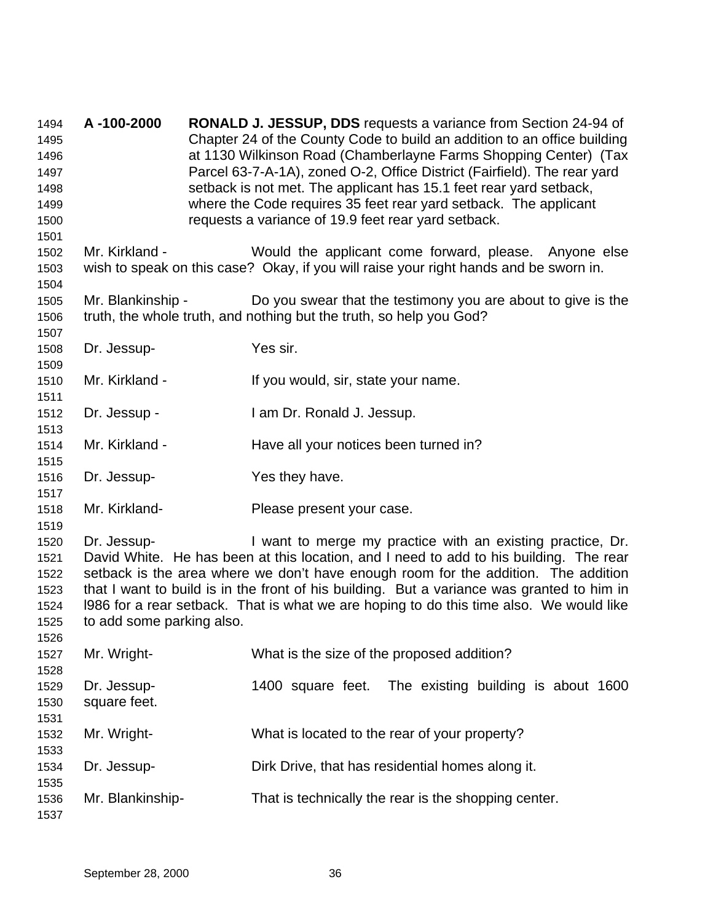**A -100-2000 RONALD J. JESSUP, DDS** requests a variance from Section 24-94 of Chapter 24 of the County Code to build an addition to an office building at 1130 Wilkinson Road (Chamberlayne Farms Shopping Center) (Tax Parcel 63-7-A-1A), zoned O-2, Office District (Fairfield). The rear yard setback is not met. The applicant has 15.1 feet rear yard setback, where the Code requires 35 feet rear yard setback. The applicant requests a variance of 19.9 feet rear yard setback. Mr. Kirkland - Would the applicant come forward, please. Anyone else wish to speak on this case? Okay, if you will raise your right hands and be sworn in. Mr. Blankinship - Do you swear that the testimony you are about to give is the truth, the whole truth, and nothing but the truth, so help you God? Dr. Jessup- Yes sir. Mr. Kirkland - If you would, sir, state your name. Dr. Jessup - I am Dr. Ronald J. Jessup. 1514 Mr. Kirkland - Have all your notices been turned in? Dr. Jessup- Yes they have. Mr. Kirkland- Please present your case. Dr. Jessup- I want to merge my practice with an existing practice, Dr. David White. He has been at this location, and I need to add to his building. The rear setback is the area where we don't have enough room for the addition. The addition that I want to build is in the front of his building. But a variance was granted to him in l986 for a rear setback. That is what we are hoping to do this time also. We would like to add some parking also. Mr. Wright- What is the size of the proposed addition? Dr. Jessup- 1400 square feet. The existing building is about 1600 square feet. Mr. Wright- What is located to the rear of your property? Dr. Jessup- Dirk Drive, that has residential homes along it. Mr. Blankinship- That is technically the rear is the shopping center.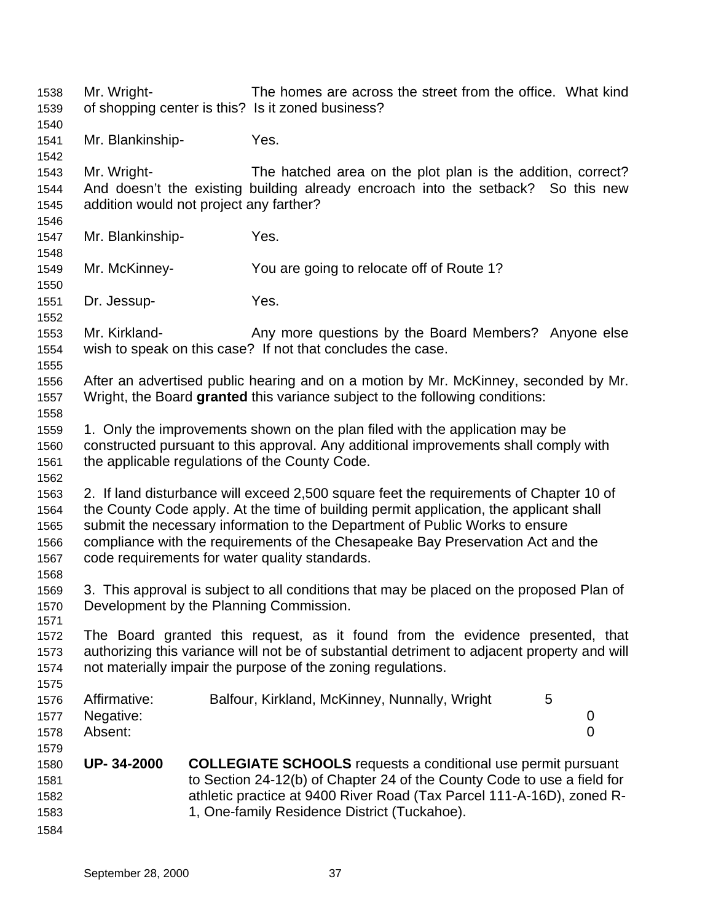Mr. Wright- The homes are across the street from the office. What kind of shopping center is this? Is it zoned business? Mr. Blankinship- Yes. Mr. Wright- The hatched area on the plot plan is the addition, correct? And doesn't the existing building already encroach into the setback? So this new addition would not project any farther? Mr. Blankinship- Yes. Mr. McKinney- You are going to relocate off of Route 1? Dr. Jessup- Yes. Mr. Kirkland- Any more questions by the Board Members? Anyone else wish to speak on this case? If not that concludes the case. After an advertised public hearing and on a motion by Mr. McKinney, seconded by Mr. Wright, the Board **granted** this variance subject to the following conditions: 1. Only the improvements shown on the plan filed with the application may be constructed pursuant to this approval. Any additional improvements shall comply with the applicable regulations of the County Code. 2. If land disturbance will exceed 2,500 square feet the requirements of Chapter 10 of the County Code apply. At the time of building permit application, the applicant shall submit the necessary information to the Department of Public Works to ensure compliance with the requirements of the Chesapeake Bay Preservation Act and the code requirements for water quality standards. 3. This approval is subject to all conditions that may be placed on the proposed Plan of Development by the Planning Commission. The Board granted this request, as it found from the evidence presented, that authorizing this variance will not be of substantial detriment to adjacent property and will not materially impair the purpose of the zoning regulations. Affirmative: Balfour, Kirkland, McKinney, Nunnally, Wright 5 Negative: 0 Absent: 0 **UP- 34-2000 COLLEGIATE SCHOOLS** requests a conditional use permit pursuant to Section 24-12(b) of Chapter 24 of the County Code to use a field for athletic practice at 9400 River Road (Tax Parcel 111-A-16D), zoned R- 1, One-family Residence District (Tuckahoe).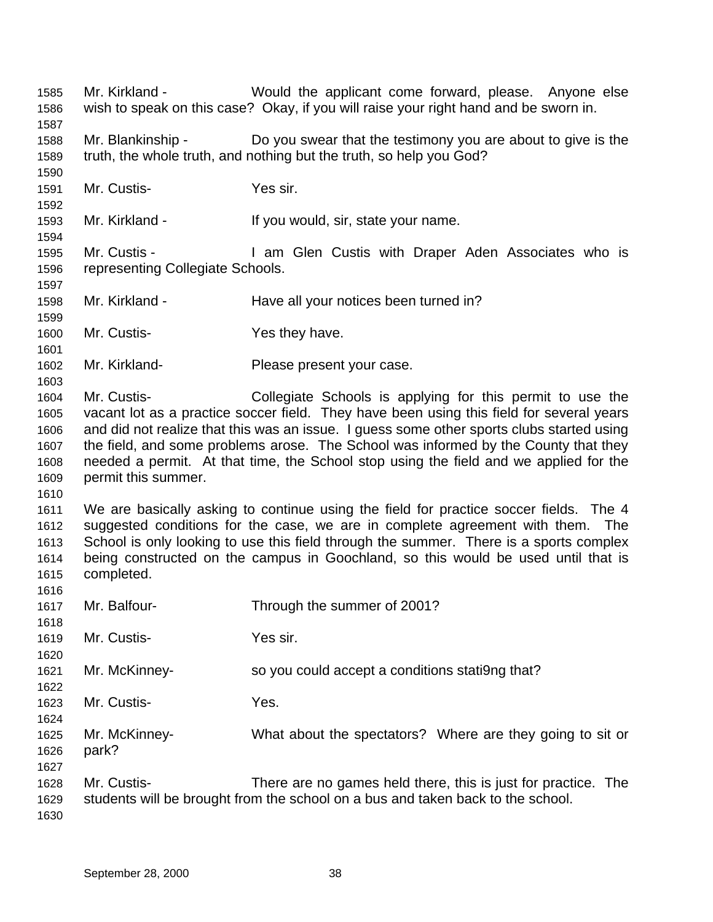Mr. Kirkland - Would the applicant come forward, please. Anyone else wish to speak on this case? Okay, if you will raise your right hand and be sworn in. Mr. Blankinship - Do you swear that the testimony you are about to give is the truth, the whole truth, and nothing but the truth, so help you God? Mr. Custis- Yes sir. Mr. Kirkland - If you would, sir, state your name. Mr. Custis - I am Glen Custis with Draper Aden Associates who is representing Collegiate Schools. 1598 Mr. Kirkland - Have all your notices been turned in? Mr. Custis- Yes they have. Mr. Kirkland- Please present your case. Mr. Custis- Collegiate Schools is applying for this permit to use the vacant lot as a practice soccer field. They have been using this field for several years and did not realize that this was an issue. I guess some other sports clubs started using the field, and some problems arose. The School was informed by the County that they needed a permit. At that time, the School stop using the field and we applied for the permit this summer. We are basically asking to continue using the field for practice soccer fields. The 4 suggested conditions for the case, we are in complete agreement with them. The School is only looking to use this field through the summer. There is a sports complex being constructed on the campus in Goochland, so this would be used until that is completed. Mr. Balfour- Through the summer of 2001? Mr. Custis- Yes sir. Mr. McKinney- so you could accept a conditions stati9ng that? Mr. Custis- Yes. Mr. McKinney- What about the spectators? Where are they going to sit or park? Mr. Custis- There are no games held there, this is just for practice. The students will be brought from the school on a bus and taken back to the school.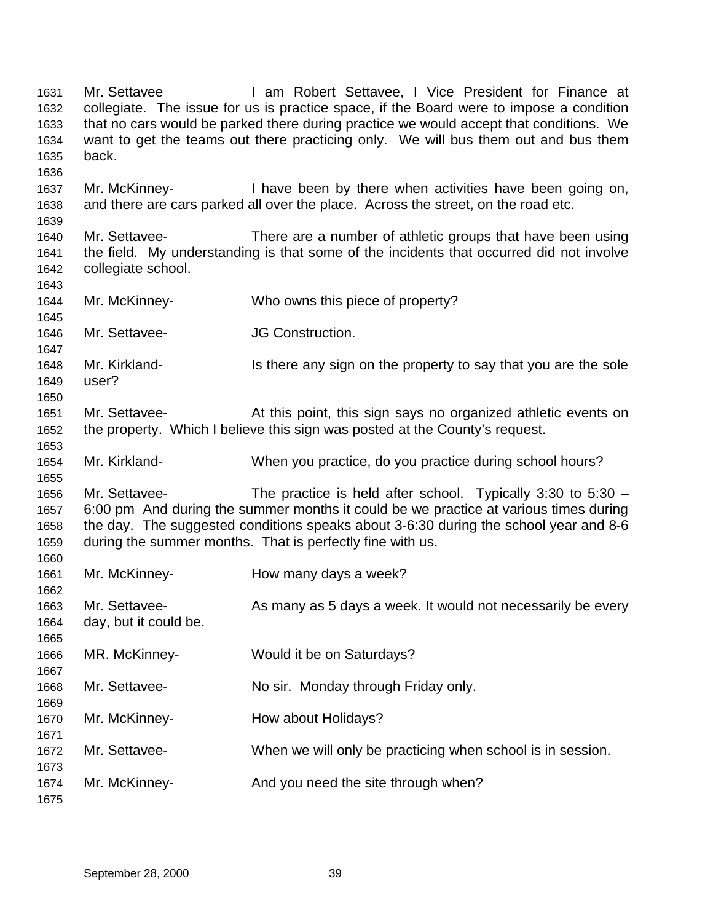1631 Mr. Settavee **I** am Robert Settavee, I Vice President for Finance at collegiate. The issue for us is practice space, if the Board were to impose a condition that no cars would be parked there during practice we would accept that conditions. We want to get the teams out there practicing only. We will bus them out and bus them back. Mr. McKinney- I have been by there when activities have been going on, and there are cars parked all over the place. Across the street, on the road etc. Mr. Settavee- There are a number of athletic groups that have been using the field. My understanding is that some of the incidents that occurred did not involve collegiate school. Mr. McKinney- Who owns this piece of property? Mr. Settavee- JG Construction. 1648 Mr. Kirkland- Is there any sign on the property to say that you are the sole user? Mr. Settavee- At this point, this sign says no organized athletic events on the property. Which I believe this sign was posted at the County's request. Mr. Kirkland- When you practice, do you practice during school hours? Mr. Settavee- The practice is held after school. Typically 3:30 to 5:30 – 6:00 pm And during the summer months it could be we practice at various times during the day. The suggested conditions speaks about 3-6:30 during the school year and 8-6 during the summer months. That is perfectly fine with us. Mr. McKinney- How many days a week? Mr. Settavee- As many as 5 days a week. It would not necessarily be every day, but it could be. MR. McKinney- Would it be on Saturdays? Mr. Settavee- No sir. Monday through Friday only. 1670 Mr. McKinney-<br>
How about Holidays? Mr. Settavee- When we will only be practicing when school is in session. Mr. McKinney- And you need the site through when?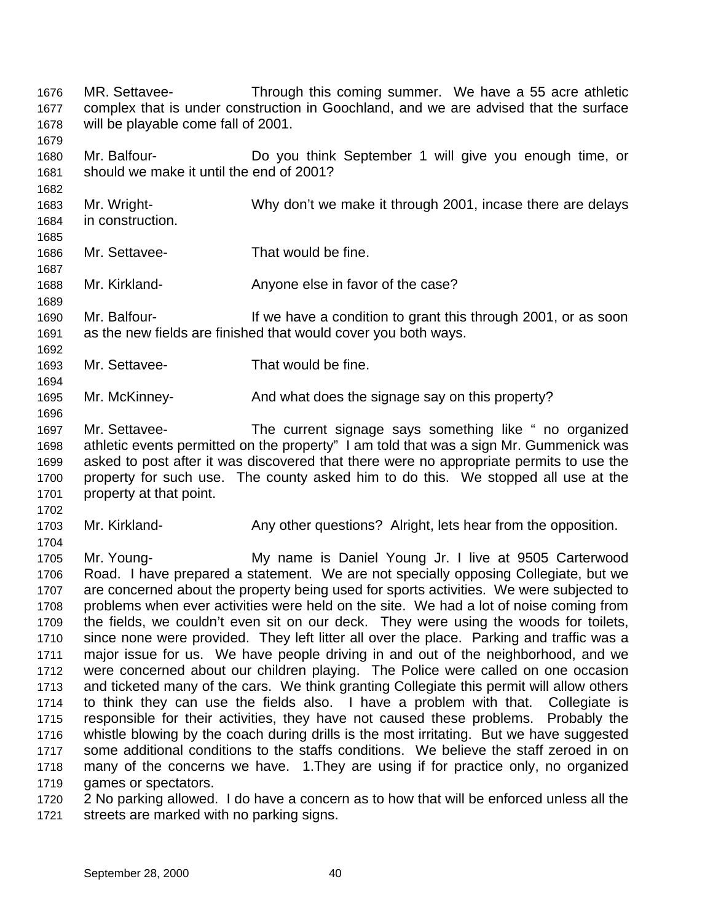MR. Settavee- Through this coming summer. We have a 55 acre athletic complex that is under construction in Goochland, and we are advised that the surface will be playable come fall of 2001. Mr. Balfour- Do you think September 1 will give you enough time, or should we make it until the end of 2001? Mr. Wright- Why don't we make it through 2001, incase there are delays in construction. Mr. Settavee- That would be fine. Mr. Kirkland- Anyone else in favor of the case? Mr. Balfour- If we have a condition to grant this through 2001, or as soon as the new fields are finished that would cover you both ways. Mr. Settavee- That would be fine. Mr. McKinney- And what does the signage say on this property? Mr. Settavee- The current signage says something like " no organized athletic events permitted on the property" I am told that was a sign Mr. Gummenick was asked to post after it was discovered that there were no appropriate permits to use the property for such use. The county asked him to do this. We stopped all use at the property at that point. Mr. Kirkland- Any other questions? Alright, lets hear from the opposition. Mr. Young- My name is Daniel Young Jr. I live at 9505 Carterwood Road. I have prepared a statement. We are not specially opposing Collegiate, but we are concerned about the property being used for sports activities. We were subjected to problems when ever activities were held on the site. We had a lot of noise coming from the fields, we couldn't even sit on our deck. They were using the woods for toilets, since none were provided. They left litter all over the place. Parking and traffic was a major issue for us. We have people driving in and out of the neighborhood, and we were concerned about our children playing. The Police were called on one occasion and ticketed many of the cars. We think granting Collegiate this permit will allow others to think they can use the fields also. I have a problem with that. Collegiate is responsible for their activities, they have not caused these problems. Probably the whistle blowing by the coach during drills is the most irritating. But we have suggested some additional conditions to the staffs conditions. We believe the staff zeroed in on many of the concerns we have. 1.They are using if for practice only, no organized 1719 games or spectators. 2 No parking allowed. I do have a concern as to how that will be enforced unless all the streets are marked with no parking signs.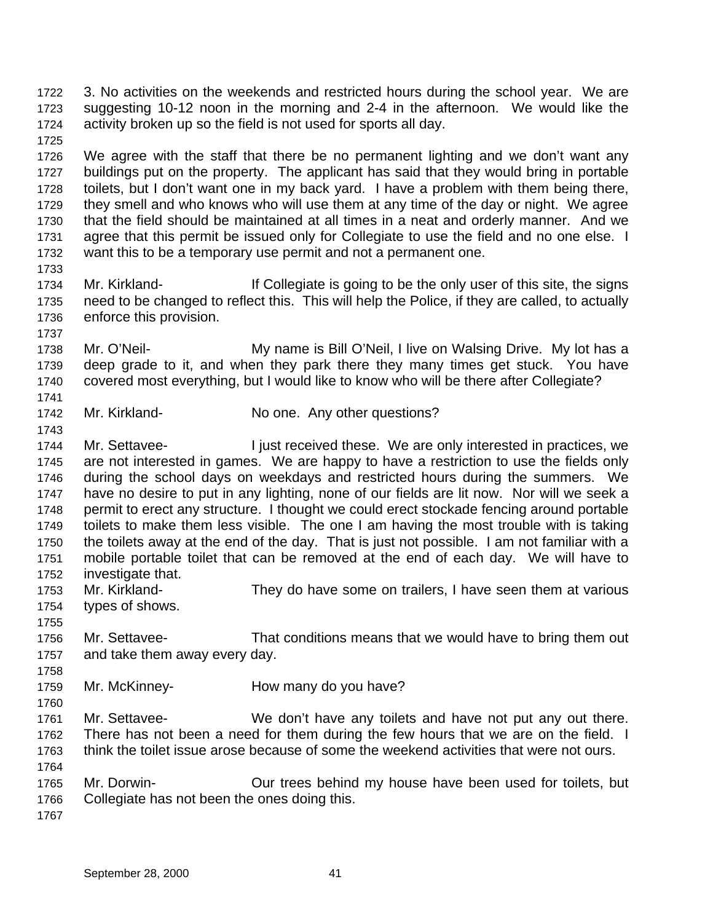3. No activities on the weekends and restricted hours during the school year. We are suggesting 10-12 noon in the morning and 2-4 in the afternoon. We would like the activity broken up so the field is not used for sports all day.

 We agree with the staff that there be no permanent lighting and we don't want any buildings put on the property. The applicant has said that they would bring in portable toilets, but I don't want one in my back yard. I have a problem with them being there, they smell and who knows who will use them at any time of the day or night. We agree that the field should be maintained at all times in a neat and orderly manner. And we 1731 agree that this permit be issued only for Collegiate to use the field and no one else. I want this to be a temporary use permit and not a permanent one.

- Mr. Kirkland- If Collegiate is going to be the only user of this site, the signs need to be changed to reflect this. This will help the Police, if they are called, to actually enforce this provision.
- Mr. O'Neil- My name is Bill O'Neil, I live on Walsing Drive. My lot has a deep grade to it, and when they park there they many times get stuck. You have covered most everything, but I would like to know who will be there after Collegiate?
- 1742 Mr. Kirkland- No one. Any other questions?
- Mr. Settavee- I just received these. We are only interested in practices, we are not interested in games. We are happy to have a restriction to use the fields only during the school days on weekdays and restricted hours during the summers. We have no desire to put in any lighting, none of our fields are lit now. Nor will we seek a permit to erect any structure. I thought we could erect stockade fencing around portable toilets to make them less visible. The one I am having the most trouble with is taking the toilets away at the end of the day. That is just not possible. I am not familiar with a mobile portable toilet that can be removed at the end of each day. We will have to investigate that. Mr. Kirkland- They do have some on trailers, I have seen them at various
- types of shows.
- Mr. Settavee- That conditions means that we would have to bring them out and take them away every day.
- 1759 Mr. McKinney- How many do you have?
- Mr. Settavee- We don't have any toilets and have not put any out there. There has not been a need for them during the few hours that we are on the field. I think the toilet issue arose because of some the weekend activities that were not ours.
- Mr. Dorwin- Our trees behind my house have been used for toilets, but Collegiate has not been the ones doing this.
-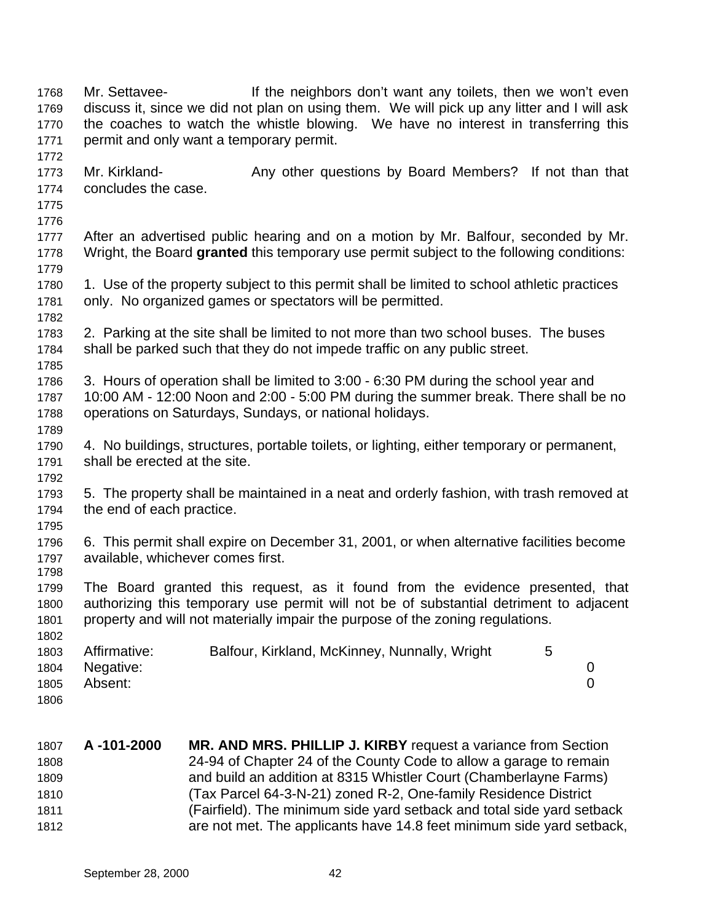Mr. Settavee- If the neighbors don't want any toilets, then we won't even discuss it, since we did not plan on using them. We will pick up any litter and I will ask the coaches to watch the whistle blowing. We have no interest in transferring this permit and only want a temporary permit. 1773 Mr. Kirkland- **Any other questions by Board Members?** If not than that concludes the case. After an advertised public hearing and on a motion by Mr. Balfour, seconded by Mr. Wright, the Board **granted** this temporary use permit subject to the following conditions: 1780 1. Use of the property subject to this permit shall be limited to school athletic practices only. No organized games or spectators will be permitted. 2. Parking at the site shall be limited to not more than two school buses. The buses shall be parked such that they do not impede traffic on any public street. 3. Hours of operation shall be limited to 3:00 - 6:30 PM during the school year and 10:00 AM - 12:00 Noon and 2:00 - 5:00 PM during the summer break. There shall be no operations on Saturdays, Sundays, or national holidays. 4. No buildings, structures, portable toilets, or lighting, either temporary or permanent, shall be erected at the site. 5. The property shall be maintained in a neat and orderly fashion, with trash removed at the end of each practice. 6. This permit shall expire on December 31, 2001, or when alternative facilities become available, whichever comes first. The Board granted this request, as it found from the evidence presented, that authorizing this temporary use permit will not be of substantial detriment to adjacent property and will not materially impair the purpose of the zoning regulations. 1803 Affirmative: Balfour, Kirkland, McKinney, Nunnally, Wright 5 Negative: 0 Absent: 0 **A -101-2000 MR. AND MRS. PHILLIP J. KIRBY** request a variance from Section 24-94 of Chapter 24 of the County Code to allow a garage to remain

 and build an addition at 8315 Whistler Court (Chamberlayne Farms) (Tax Parcel 64-3-N-21) zoned R-2, One-family Residence District (Fairfield). The minimum side yard setback and total side yard setback are not met. The applicants have 14.8 feet minimum side yard setback,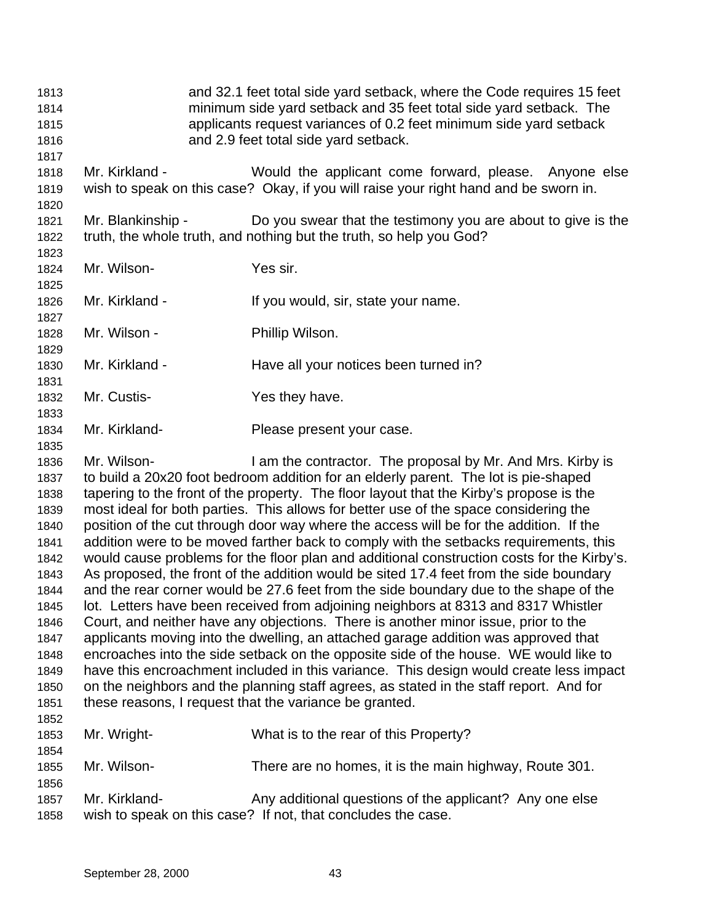and 32.1 feet total side yard setback, where the Code requires 15 feet minimum side yard setback and 35 feet total side yard setback. The applicants request variances of 0.2 feet minimum side yard setback and 2.9 feet total side yard setback. Mr. Kirkland - Would the applicant come forward, please. Anyone else wish to speak on this case? Okay, if you will raise your right hand and be sworn in. Mr. Blankinship - Do you swear that the testimony you are about to give is the truth, the whole truth, and nothing but the truth, so help you God? Mr. Wilson- Yes sir. 1826 Mr. Kirkland - If you would, sir, state your name. 1828 Mr. Wilson - Phillip Wilson. 1830 Mr. Kirkland - Have all your notices been turned in? 1832 Mr. Custis- Yes they have. Mr. Kirkland- Please present your case. Mr. Wilson- I am the contractor. The proposal by Mr. And Mrs. Kirby is to build a 20x20 foot bedroom addition for an elderly parent. The lot is pie-shaped tapering to the front of the property. The floor layout that the Kirby's propose is the most ideal for both parties. This allows for better use of the space considering the position of the cut through door way where the access will be for the addition. If the addition were to be moved farther back to comply with the setbacks requirements, this would cause problems for the floor plan and additional construction costs for the Kirby's. As proposed, the front of the addition would be sited 17.4 feet from the side boundary and the rear corner would be 27.6 feet from the side boundary due to the shape of the lot. Letters have been received from adjoining neighbors at 8313 and 8317 Whistler Court, and neither have any objections. There is another minor issue, prior to the applicants moving into the dwelling, an attached garage addition was approved that encroaches into the side setback on the opposite side of the house. WE would like to have this encroachment included in this variance. This design would create less impact on the neighbors and the planning staff agrees, as stated in the staff report. And for these reasons, I request that the variance be granted. Mr. Wright- What is to the rear of this Property? Mr. Wilson- There are no homes, it is the main highway, Route 301. 1857 Mr. Kirkland- Any additional questions of the applicant? Any one else wish to speak on this case? If not, that concludes the case.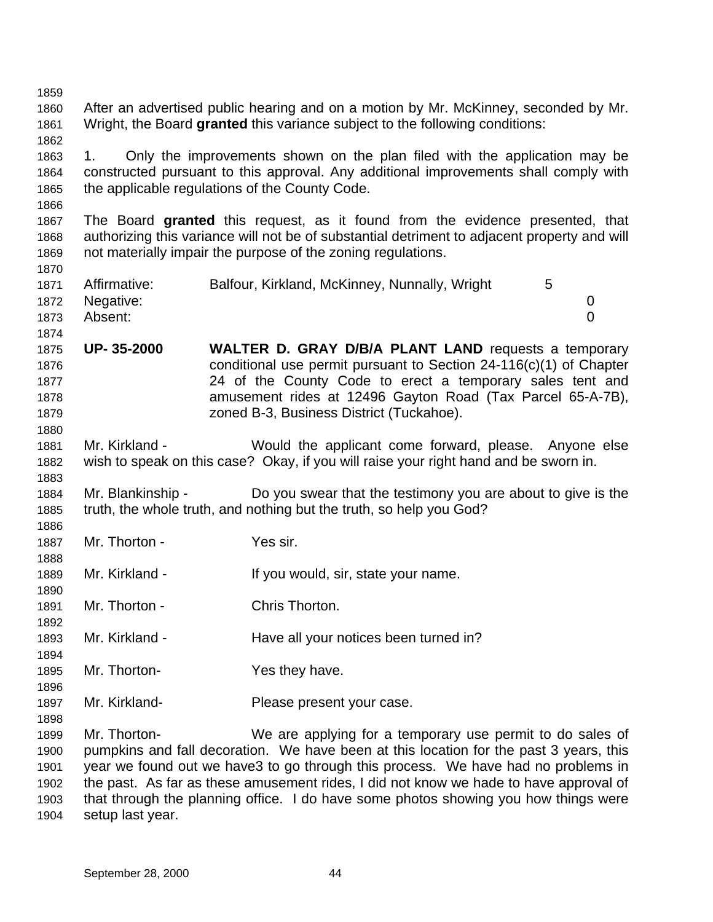After an advertised public hearing and on a motion by Mr. McKinney, seconded by Mr. Wright, the Board **granted** this variance subject to the following conditions: 1. Only the improvements shown on the plan filed with the application may be constructed pursuant to this approval. Any additional improvements shall comply with the applicable regulations of the County Code. The Board **granted** this request, as it found from the evidence presented, that authorizing this variance will not be of substantial detriment to adjacent property and will not materially impair the purpose of the zoning regulations. Affirmative: Balfour, Kirkland, McKinney, Nunnally, Wright 5 Negative: 0 Absent: 0 **UP- 35-2000 WALTER D. GRAY D/B/A PLANT LAND** requests a temporary conditional use permit pursuant to Section 24-116(c)(1) of Chapter 24 of the County Code to erect a temporary sales tent and amusement rides at 12496 Gayton Road (Tax Parcel 65-A-7B), zoned B-3, Business District (Tuckahoe). Mr. Kirkland - Would the applicant come forward, please. Anyone else wish to speak on this case? Okay, if you will raise your right hand and be sworn in. Mr. Blankinship - Do you swear that the testimony you are about to give is the truth, the whole truth, and nothing but the truth, so help you God? Mr. Thorton - Yes sir. 1889 Mr. Kirkland - If you would, sir, state your name. Mr. Thorton - Chris Thorton. Mr. Kirkland - Have all your notices been turned in? Mr. Thorton- Yes they have. Mr. Kirkland- Please present your case. Mr. Thorton- We are applying for a temporary use permit to do sales of pumpkins and fall decoration. We have been at this location for the past 3 years, this year we found out we have3 to go through this process. We have had no problems in the past. As far as these amusement rides, I did not know we hade to have approval of that through the planning office. I do have some photos showing you how things were

setup last year.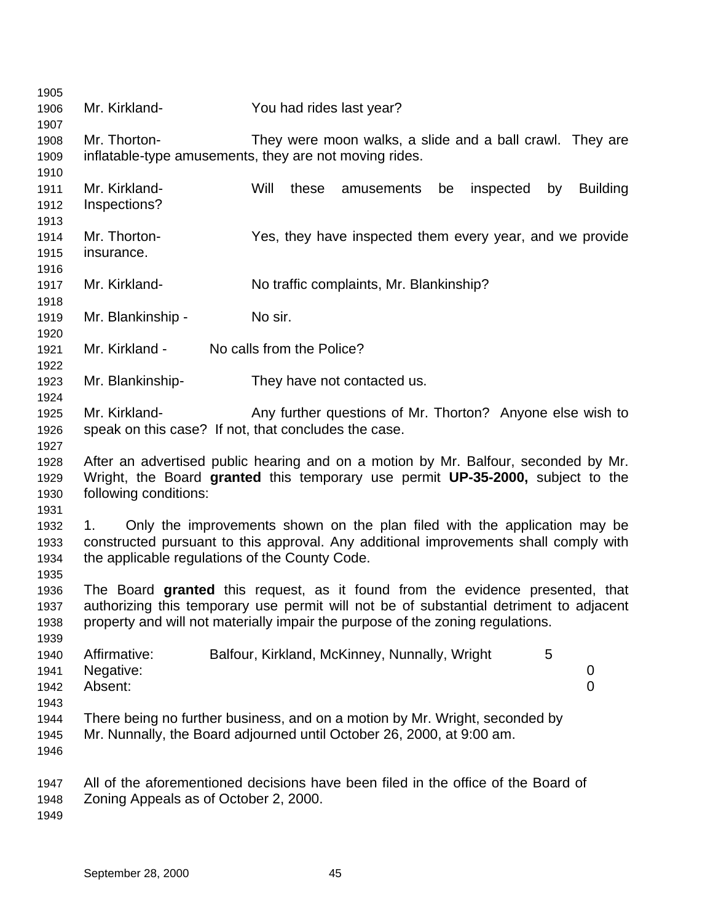| 1905 |                                                      |                                                                                        |
|------|------------------------------------------------------|----------------------------------------------------------------------------------------|
| 1906 | Mr. Kirkland-                                        | You had rides last year?                                                               |
| 1907 |                                                      |                                                                                        |
| 1908 | Mr. Thorton-                                         | They were moon walks, a slide and a ball crawl. They are                               |
| 1909 |                                                      | inflatable-type amusements, they are not moving rides.                                 |
| 1910 |                                                      |                                                                                        |
| 1911 | Mr. Kirkland-                                        | Will<br>these<br>inspected<br><b>Building</b><br>amusements<br>be<br>by                |
| 1912 | Inspections?                                         |                                                                                        |
| 1913 |                                                      |                                                                                        |
| 1914 | Mr. Thorton-                                         | Yes, they have inspected them every year, and we provide                               |
| 1915 | insurance.                                           |                                                                                        |
| 1916 |                                                      |                                                                                        |
| 1917 | Mr. Kirkland-                                        | No traffic complaints, Mr. Blankinship?                                                |
| 1918 |                                                      |                                                                                        |
| 1919 | Mr. Blankinship -                                    | No sir.                                                                                |
| 1920 |                                                      |                                                                                        |
| 1921 | Mr. Kirkland -                                       | No calls from the Police?                                                              |
| 1922 |                                                      |                                                                                        |
| 1923 | Mr. Blankinship-                                     | They have not contacted us.                                                            |
| 1924 |                                                      |                                                                                        |
| 1925 | Mr. Kirkland-                                        | Any further questions of Mr. Thorton? Anyone else wish to                              |
| 1926 | speak on this case? If not, that concludes the case. |                                                                                        |
| 1927 |                                                      |                                                                                        |
| 1928 |                                                      | After an advertised public hearing and on a motion by Mr. Balfour, seconded by Mr.     |
| 1929 |                                                      | Wright, the Board granted this temporary use permit UP-35-2000, subject to the         |
| 1930 | following conditions:                                |                                                                                        |
| 1931 |                                                      |                                                                                        |
| 1932 | 1.                                                   | Only the improvements shown on the plan filed with the application may be              |
| 1933 |                                                      | constructed pursuant to this approval. Any additional improvements shall comply with   |
| 1934 | the applicable regulations of the County Code.       |                                                                                        |
| 1935 |                                                      |                                                                                        |
| 1936 |                                                      | The Board granted this request, as it found from the evidence presented, that          |
|      |                                                      |                                                                                        |
| 1937 |                                                      | authorizing this temporary use permit will not be of substantial detriment to adjacent |
| 1938 |                                                      | property and will not materially impair the purpose of the zoning regulations.         |
| 1939 |                                                      |                                                                                        |
| 1940 | Affirmative:                                         | Balfour, Kirkland, McKinney, Nunnally, Wright<br>5                                     |
| 1941 | Negative:                                            | 0                                                                                      |
| 1942 | Absent:                                              | 0                                                                                      |
| 1943 |                                                      |                                                                                        |
| 1944 |                                                      | There being no further business, and on a motion by Mr. Wright, seconded by            |
| 1945 |                                                      | Mr. Nunnally, the Board adjourned until October 26, 2000, at 9:00 am.                  |
| 1946 |                                                      |                                                                                        |
| 1947 |                                                      | All of the aforementioned decisions have been filed in the office of the Board of      |
| 1948 | Zoning Appeals as of October 2, 2000.                |                                                                                        |
| 1949 |                                                      |                                                                                        |
|      |                                                      |                                                                                        |